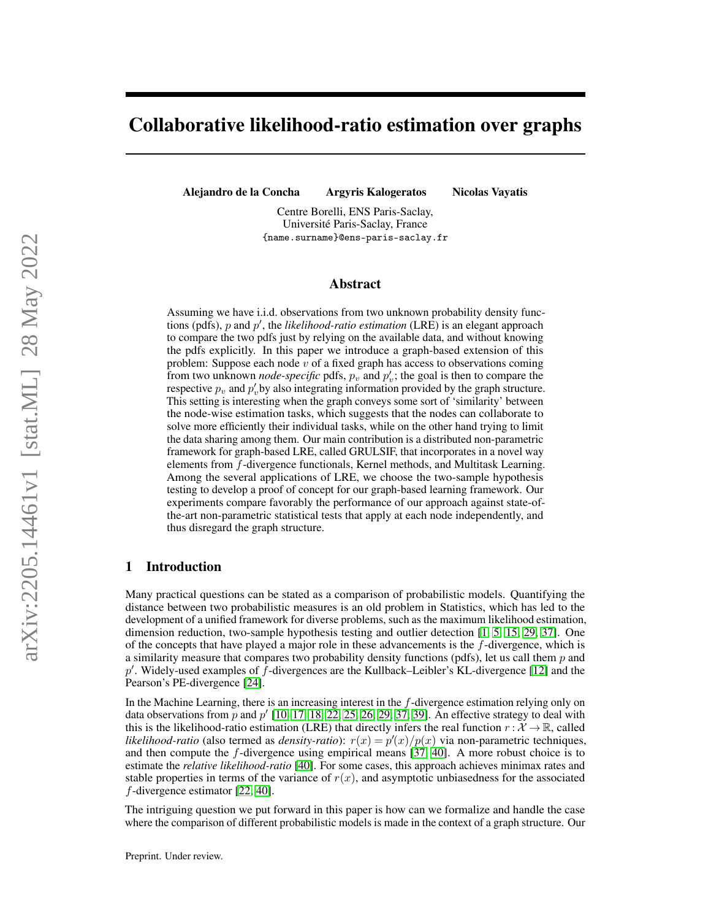# Collaborative likelihood-ratio estimation over graphs

Alejandro de la Concha Argyris Kalogeratos Nicolas Vayatis

Centre Borelli, ENS Paris-Saclay,

Université Paris-Saclay, France {name.surname}@ens-paris-saclay.fr

## Abstract

Assuming we have i.i.d. observations from two unknown probability density functions (pdfs),  $p$  and  $p'$ , the *likelihood-ratio estimation* (LRE) is an elegant approach to compare the two pdfs just by relying on the available data, and without knowing the pdfs explicitly. In this paper we introduce a graph-based extension of this problem: Suppose each node  $v$  of a fixed graph has access to observations coming from two unknown *node-specific* pdfs,  $p_v$  and  $p'_v$ ; the goal is then to compare the respective  $p_v$  and  $p'_v$  by also integrating information provided by the graph structure. This setting is interesting when the graph conveys some sort of 'similarity' between the node-wise estimation tasks, which suggests that the nodes can collaborate to solve more efficiently their individual tasks, while on the other hand trying to limit the data sharing among them. Our main contribution is a distributed non-parametric framework for graph-based LRE, called GRULSIF, that incorporates in a novel way elements from f-divergence functionals, Kernel methods, and Multitask Learning. Among the several applications of LRE, we choose the two-sample hypothesis testing to develop a proof of concept for our graph-based learning framework. Our experiments compare favorably the performance of our approach against state-ofthe-art non-parametric statistical tests that apply at each node independently, and thus disregard the graph structure.

## 1 Introduction

Many practical questions can be stated as a comparison of probabilistic models. Quantifying the distance between two probabilistic measures is an old problem in Statistics, which has led to the development of a unified framework for diverse problems, such as the maximum likelihood estimation, dimension reduction, two-sample hypothesis testing and outlier detection [\[1,](#page-9-0) [5,](#page-9-1) [15,](#page-10-0) [29,](#page-10-1) [37\]](#page-10-2). One of the concepts that have played a major role in these advancements is the f-divergence, which is a similarity measure that compares two probability density functions (pdfs), let us call them  $p$  and p'. Widely-used examples of  $\hat{f}$ -divergences are the Kullback–Leibler's KL-divergence [\[12\]](#page-9-2) and the Pearson's PE-divergence [\[24\]](#page-10-3).

In the Machine Learning, there is an increasing interest in the  $f$ -divergence estimation relying only on data observations from  $\overline{p}$  and  $\overline{p}'$  [\[10,](#page-9-3) [17,](#page-10-4) [18,](#page-10-5) [22,](#page-10-6) [25,](#page-10-7) [26,](#page-10-8) [29,](#page-10-1) [37,](#page-10-2) [39\]](#page-10-9). An effective strategy to deal with this is the likelihood-ratio estimation (LRE) that directly infers the real function  $r : \mathcal{X} \to \mathbb{R}$ , called *likelihood-ratio* (also termed as *density-ratio*):  $r(x) = p'(x)/p(x)$  via non-parametric techniques, and then compute the  $f$ -divergence using empirical means [\[37,](#page-10-2) [40\]](#page-10-10). A more robust choice is to estimate the *relative likelihood-ratio* [\[40\]](#page-10-10). For some cases, this approach achieves minimax rates and stable properties in terms of the variance of  $r(x)$ , and asymptotic unbiasedness for the associated f-divergence estimator [\[22,](#page-10-6) [40\]](#page-10-10).

The intriguing question we put forward in this paper is how can we formalize and handle the case where the comparison of different probabilistic models is made in the context of a graph structure. Our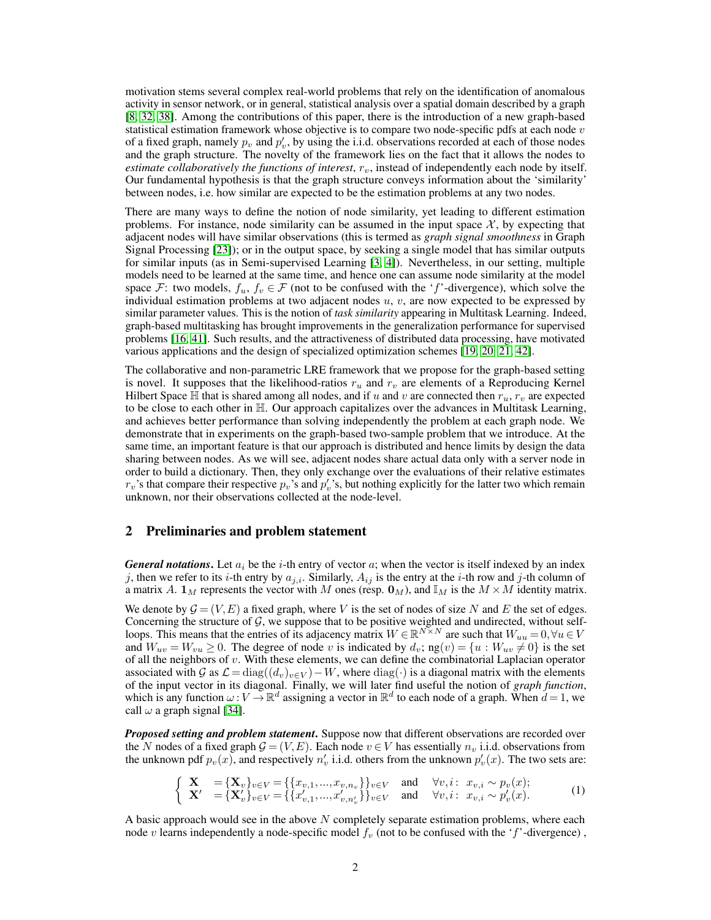motivation stems several complex real-world problems that rely on the identification of anomalous activity in sensor network, or in general, statistical analysis over a spatial domain described by a graph [\[8,](#page-9-4) [32,](#page-10-11) [38\]](#page-10-12). Among the contributions of this paper, there is the introduction of a new graph-based statistical estimation framework whose objective is to compare two node-specific pdfs at each node  $v$ of a fixed graph, namely  $p_v$  and  $p'_v$ , by using the i.i.d. observations recorded at each of those nodes and the graph structure. The novelty of the framework lies on the fact that it allows the nodes to *estimate collaboratively the functions of interest,*  $r<sub>v</sub>$ *, instead of independently each node by itself.* Our fundamental hypothesis is that the graph structure conveys information about the 'similarity' between nodes, i.e. how similar are expected to be the estimation problems at any two nodes.

There are many ways to define the notion of node similarity, yet leading to different estimation problems. For instance, node similarity can be assumed in the input space  $\mathcal{X}$ , by expecting that adjacent nodes will have similar observations (this is termed as *graph signal smoothness* in Graph Signal Processing [\[23\]](#page-10-13)); or in the output space, by seeking a single model that has similar outputs for similar inputs (as in Semi-supervised Learning [\[3,](#page-9-5) [4\]](#page-9-6)). Nevertheless, in our setting, multiple models need to be learned at the same time, and hence one can assume node similarity at the model space F: two models,  $f_u, f_v \in \mathcal{F}$  (not to be confused with the 'f'-divergence), which solve the individual estimation problems at two adjacent nodes  $u, v$ , are now expected to be expressed by similar parameter values. This is the notion of *task similarity* appearing in Multitask Learning. Indeed, graph-based multitasking has brought improvements in the generalization performance for supervised problems [\[16,](#page-10-14) [41\]](#page-11-0). Such results, and the attractiveness of distributed data processing, have motivated various applications and the design of specialized optimization schemes [\[19,](#page-10-15) [20,](#page-10-16) [21,](#page-10-17) [42\]](#page-11-1).

The collaborative and non-parametric LRE framework that we propose for the graph-based setting is novel. It supposes that the likelihood-ratios  $r_u$  and  $r_v$  are elements of a Reproducing Kernel Hilbert Space  $\mathbb H$  that is shared among all nodes, and if u and v are connected then  $r_u$ ,  $r_v$  are expected to be close to each other in H. Our approach capitalizes over the advances in Multitask Learning, and achieves better performance than solving independently the problem at each graph node. We demonstrate that in experiments on the graph-based two-sample problem that we introduce. At the same time, an important feature is that our approach is distributed and hence limits by design the data sharing between nodes. As we will see, adjacent nodes share actual data only with a server node in order to build a dictionary. Then, they only exchange over the evaluations of their relative estimates  $r_v$ 's that compare their respective  $p_v$ 's and  $p'_v$ 's, but nothing explicitly for the latter two which remain unknown, nor their observations collected at the node-level.

## <span id="page-1-0"></span>2 Preliminaries and problem statement

*General notations*. Let  $a_i$  be the *i*-th entry of vector a; when the vector is itself indexed by an index j, then we refer to its i-th entry by  $a_{j,i}$ . Similarly,  $A_{ij}$  is the entry at the i-th row and j-th column of a matrix A.  $\mathbf{1}_M$  represents the vector with M ones (resp.  $\mathbf{0}_M$ ), and  $\mathbb{I}_M$  is the  $M \times M$  identity matrix.

We denote by  $G = (V, E)$  a fixed graph, where V is the set of nodes of size N and E the set of edges. Concerning the structure of  $G$ , we suppose that to be positive weighted and undirected, without selfloops. This means that the entries of its adjacency matrix  $W \in \mathbb{R}^{N \times N}$  are such that  $W_{uu} = 0, \forall u \in V$ and  $W_{uv} = W_{vu} \ge 0$ . The degree of node v is indicated by  $d_v$ ; ng $(v) = \{u : W_{uv} \ne 0\}$  is the set of all the neighbors of  $v$ . With these elements, we can define the combinatorial Laplacian operator associated with G as  $\mathcal{L} = \text{diag}((d_v)_{v \in V}) - W$ , where  $\text{diag}(\cdot)$  is a diagonal matrix with the elements of the input vector in its diagonal. Finally, we will later find useful the notion of *graph function*, which is any function  $\omega: V \to \mathbb{R}^d$  assigning a vector in  $\mathbb{R}^d$  to each node of a graph. When  $d = 1$ , we call  $\omega$  a graph signal [\[34\]](#page-10-18).

**Proposed setting and problem statement.** Suppose now that different observations are recorded over the N nodes of a fixed graph  $G = (V, E)$ . Each node  $v \in V$  has essentially  $n_v$  i.i.d. observations from the unknown pdf  $p_v(x)$ , and respectively  $n'_v$  i.i.d. others from the unknown  $p'_v(x)$ . The two sets are:

$$
\begin{cases} \mathbf{X} = {\mathbf{X}_v}_{v \in V} = {\{x_{v,1},...,x_{v,n_v}\}_{v \in V}} \text{ and } \forall v, i: x_{v,i} \sim p_v(x); \\ \mathbf{X}' = {\mathbf{X}'_v}_{v \in V} = {\{\{x'_{v,1},...,x'_{v,n'_v}\}\}_{v \in V}} \text{ and } \forall v, i: x_{v,i} \sim p'_v(x). \end{cases} (1)
$$

A basic approach would see in the above  $N$  completely separate estimation problems, where each node v learns independently a node-specific model  $f_v$  (not to be confused with the 'f'-divergence),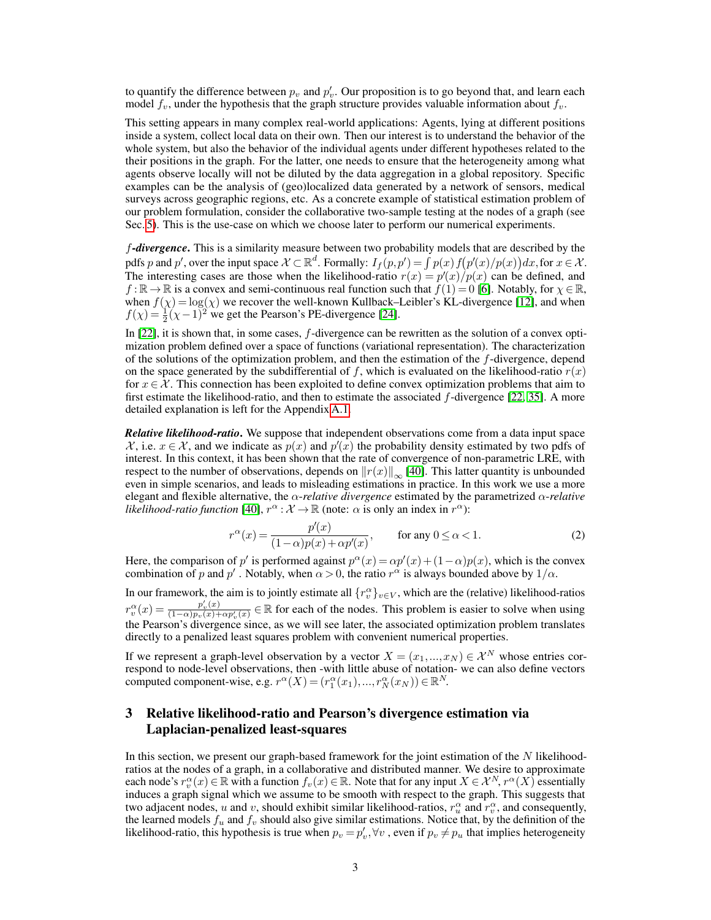to quantify the difference between  $p_v$  and  $p'_v$ . Our proposition is to go beyond that, and learn each model  $f_v$ , under the hypothesis that the graph structure provides valuable information about  $f_v$ .

This setting appears in many complex real-world applications: Agents, lying at different positions inside a system, collect local data on their own. Then our interest is to understand the behavior of the whole system, but also the behavior of the individual agents under different hypotheses related to the their positions in the graph. For the latter, one needs to ensure that the heterogeneity among what agents observe locally will not be diluted by the data aggregation in a global repository. Specific examples can be the analysis of (geo)localized data generated by a network of sensors, medical surveys across geographic regions, etc. As a concrete example of statistical estimation problem of our problem formulation, consider the collaborative two-sample testing at the nodes of a graph (see Sec. [5\)](#page-5-0). This is the use-case on which we choose later to perform our numerical experiments.

f*-divergence*. This is a similarity measure between two probability models that are described by the pdfs p and p', over the input space  $X \subset \mathbb{R}^d$ . Formally:  $I_f(p,p') = \int p(x) f(p'(x)/p(x)) dx$ , for  $x \in \mathcal{X}$ . The interesting cases are those when the likelihood-ratio  $r(x) = p'(x)/p(x)$  can be defined, and  $f : \mathbb{R} \to \mathbb{R}$  is a convex and semi-continuous real function such that  $f(1) = 0$  [\[6\]](#page-9-7). Notably, for  $\chi \in \mathbb{R}$ , when  $f(\chi) = \log(\chi)$  we recover the well-known Kullback–Leibler's KL-divergence [\[12\]](#page-9-2), and when  $f(\chi) = \frac{1}{2}(\chi - 1)^2$  we get the Pearson's PE-divergence [\[24\]](#page-10-3).

In  $[22]$ , it is shown that, in some cases,  $f$ -divergence can be rewritten as the solution of a convex optimization problem defined over a space of functions (variational representation). The characterization of the solutions of the optimization problem, and then the estimation of the  $f$ -divergence, depend on the space generated by the subdifferential of f, which is evaluated on the likelihood-ratio  $r(x)$ for  $x \in \mathcal{X}$ . This connection has been exploited to define convex optimization problems that aim to first estimate the likelihood-ratio, and then to estimate the associated f-divergence [\[22,](#page-10-6) [35\]](#page-10-19). A more detailed explanation is left for the Appendix [A.1.](#page-12-0)

*Relative likelihood-ratio*. We suppose that independent observations come from a data input space  $\mathcal{X}$ , i.e.  $x \in \mathcal{X}$ , and we indicate as  $p(x)$  and  $p'(x)$  the probability density estimated by two pdfs of interest. In this context, it has been shown that the rate of convergence of non-parametric LRE, with respect to the number of observations, depends on  $||r(x)||_{\infty}$  [\[40\]](#page-10-10). This latter quantity is unbounded even in simple scenarios, and leads to misleading estimations in practice. In this work we use a more elegant and flexible alternative, the α-*relative divergence* estimated by the parametrized α-*relative likelihood-ratio function* [\[40\]](#page-10-10),  $r^{\alpha}$  :  $\mathcal{X} \to \mathbb{R}$  (note:  $\alpha$  is only an index in  $r^{\alpha}$ ):

<span id="page-2-0"></span>
$$
r^{\alpha}(x) = \frac{p'(x)}{(1-\alpha)p(x) + \alpha p'(x)}, \quad \text{for any } 0 \le \alpha < 1.
$$
 (2)

Here, the comparison of p' is performed against  $p^{\alpha}(x) = \alpha p'(x) + (1 - \alpha)p(x)$ , which is the convex combination of p and p'. Notably, when  $\alpha > 0$ , the ratio  $r^{\alpha}$  is always bounded above by  $1/\alpha$ .

In our framework, the aim is to jointly estimate all  $\{r_v^{\alpha}\}_{v \in V}$ , which are the (relative) likelihood-ratios  $r_v^{\alpha}(x) = \frac{p'_v(x)}{(1-\alpha)p_v(x)+\alpha}$  $\frac{p'_v(x)}{(1-\alpha)p_v(x)+\alpha p'_v(x)} \in \mathbb{R}$  for each of the nodes. This problem is easier to solve when using the Pearson's divergence since, as we will see later, the associated optimization problem translates directly to a penalized least squares problem with convenient numerical properties.

If we represent a graph-level observation by a vector  $X = (x_1, ..., x_N) \in \mathcal{X}^N$  whose entries correspond to node-level observations, then -with little abuse of notation- we can also define vectors computed component-wise, e.g.  $r^{\alpha}(X) = (r_1^{\alpha}(x_1), ..., r_N^{\alpha}(x_N)) \in \mathbb{R}^N$ .

# 3 Relative likelihood-ratio and Pearson's divergence estimation via Laplacian-penalized least-squares

In this section, we present our graph-based framework for the joint estimation of the  $N$  likelihoodratios at the nodes of a graph, in a collaborative and distributed manner. We desire to approximate each node's  $r_v^{\alpha}(x) \in \mathbb{R}$  with a function  $f_v(x) \in \mathbb{R}$ . Note that for any input  $X \in \mathcal{X}^N$ ,  $r^{\alpha}(X)$  essentially induces a graph signal which we assume to be smooth with respect to the graph. This suggests that two adjacent nodes, u and v, should exhibit similar likelihood-ratios,  $r_u^{\alpha}$  and  $r_v^{\alpha}$ , and consequently, the learned models  $f_u$  and  $f_v$  should also give similar estimations. Notice that, by the definition of the likelihood-ratio, this hypothesis is true when  $p_v = p'_v, \forall v$ , even if  $p_v \neq p_u$  that implies heterogeneity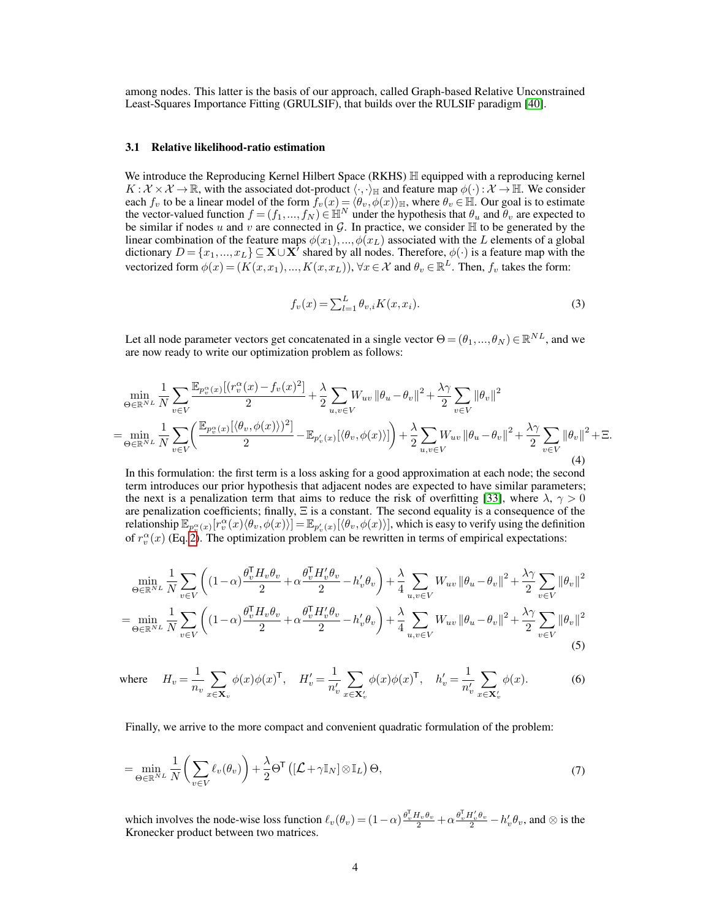among nodes. This latter is the basis of our approach, called Graph-based Relative Unconstrained Least-Squares Importance Fitting (GRULSIF), that builds over the RULSIF paradigm [\[40\]](#page-10-10).

#### 3.1 Relative likelihood-ratio estimation

We introduce the Reproducing Kernel Hilbert Space (RKHS)  $\mathbb H$  equipped with a reproducing kernel  $K : \mathcal{X} \times \mathcal{X} \to \mathbb{R}$ , with the associated dot-product  $\langle \cdot, \cdot \rangle_{\mathbb{H}}$  and feature map  $\phi(\cdot) : \mathcal{X} \to \mathbb{H}$ . We consider each  $f_v$  to be a linear model of the form  $f_v(x) = \langle \theta_v, \phi(x) \rangle_{\mathbb{H}}$ , where  $\theta_v \in \mathbb{H}$ . Our goal is to estimate the vector-valued function  $f = (f_1,...,f_N) \in \mathbb{H}^N$  under the hypothesis that  $\theta_u$  and  $\theta_v$  are expected to be similar if nodes u and v are connected in G. In practice, we consider  $\mathbb H$  to be generated by the linear combination of the feature maps  $\phi(x_1),...,\phi(x_L)$  associated with the L elements of a global dictionary  $D = \{x_1, ..., x_L\} \subseteq X \cup X^T$  shared by all nodes. Therefore,  $\phi(\cdot)$  is a feature map with the vectorized form  $\phi(x) = (K(x, x_1), ..., K(x, x_L))$ ,  $\forall x \in \mathcal{X}$  and  $\theta_v \in \mathbb{R}^L$ . Then,  $f_v$  takes the form:

$$
f_v(x) = \sum_{l=1}^{L} \theta_{v,i} K(x, x_i).
$$
 (3)

Let all node parameter vectors get concatenated in a single vector  $\Theta = (\theta_1, ..., \theta_N) \in \mathbb{R}^{NL}$ , and we are now ready to write our optimization problem as follows:

<span id="page-3-1"></span>
$$
\min_{\Theta \in \mathbb{R}^{NL}} \frac{1}{N} \sum_{v \in V} \frac{\mathbb{E}_{p_v^{\alpha}(x)}[(r_v^{\alpha}(x) - f_v(x)^2]}{2} + \frac{\lambda}{2} \sum_{u,v \in V} W_{uv} ||\theta_u - \theta_v||^2 + \frac{\lambda \gamma}{2} \sum_{v \in V} ||\theta_v||^2
$$
\n
$$
= \min_{\Theta \in \mathbb{R}^{NL}} \frac{1}{N} \sum_{v \in V} \left( \frac{\mathbb{E}_{p_v^{\alpha}(x)}[(\theta_v, \phi(x))]^2]}{2} - \mathbb{E}_{p_v^{\prime}(x)}[\langle \theta_v, \phi(x) \rangle] \right) + \frac{\lambda}{2} \sum_{u,v \in V} W_{uv} ||\theta_u - \theta_v||^2 + \frac{\lambda \gamma}{2} \sum_{v \in V} ||\theta_v||^2 + \Xi. \tag{4}
$$

In this formulation: the first term is a loss asking for a good approximation at each node; the second term introduces our prior hypothesis that adjacent nodes are expected to have similar parameters; the next is a penalization term that aims to reduce the risk of overfitting [\[33\]](#page-10-20), where  $\lambda$ ,  $\gamma > 0$ are penalization coefficients; finally, Ξ is a constant. The second equality is a consequence of the relationship  $\mathbb{E}_{p_v^\alpha(x)}[r_v^\alpha(x)\langle\theta_v,\phi(x)\rangle]=\mathbb{E}_{p_v'(x)}[\langle\theta_v,\phi(x)\rangle],$  which is easy to verify using the definition of  $r_v^{\alpha}(x)$  (Eq. [2\)](#page-2-0). The optimization problem can be rewritten in terms of empirical expectations:

$$
\min_{\Theta \in \mathbb{R}^{NL}} \frac{1}{N} \sum_{v \in V} \left( (1 - \alpha) \frac{\theta_v^{\mathsf{T}} H_v \theta_v}{2} + \alpha \frac{\theta_v^{\mathsf{T}} H_v' \theta_v}{2} - h_v' \theta_v \right) + \frac{\lambda}{4} \sum_{u,v \in V} W_{uv} \left\| \theta_u - \theta_v \right\|^2 + \frac{\lambda \gamma}{2} \sum_{v \in V} \left\| \theta_v \right\|^2
$$
\n
$$
= \min_{\Theta \in \mathbb{R}^{NL}} \frac{1}{N} \sum_{v \in V} \left( (1 - \alpha) \frac{\theta_v^{\mathsf{T}} H_v \theta_v}{2} + \alpha \frac{\theta_v^{\mathsf{T}} H_v' \theta_v}{2} - h_v' \theta_v \right) + \frac{\lambda}{4} \sum_{u,v \in V} W_{uv} \left\| \theta_u - \theta_v \right\|^2 + \frac{\lambda \gamma}{2} \sum_{v \in V} \left\| \theta_v \right\|^2
$$
\n
$$
(5)
$$

where 
$$
H_v = \frac{1}{n_v} \sum_{x \in \mathbf{X}_v} \phi(x) \phi(x)^\mathsf{T}
$$
,  $H'_v = \frac{1}{n'_v} \sum_{x \in \mathbf{X}'_v} \phi(x) \phi(x)^\mathsf{T}$ ,  $h'_v = \frac{1}{n'_v} \sum_{x \in \mathbf{X}'_v} \phi(x)$ . (6)

<span id="page-3-2"></span>Finally, we arrive to the more compact and convenient quadratic formulation of the problem:

<span id="page-3-0"></span>
$$
= \min_{\Theta \in \mathbb{R}^{NL}} \frac{1}{N} \left( \sum_{v \in V} \ell_v(\theta_v) \right) + \frac{\lambda}{2} \Theta^{\mathsf{T}} \left( \left[ \mathcal{L} + \gamma \mathbb{I}_N \right] \otimes \mathbb{I}_L \right) \Theta,
$$
\n(7)

which involves the node-wise loss function  $\ell_v(\theta_v) = (1-\alpha)\frac{\theta_v^{\mathrm{T}}H_v\theta_v}{2} + \alpha\frac{\theta_v^{\mathrm{T}}H'_v\theta_v}{2} - h'_v\theta_v$ , and  $\otimes$  is the Kronecker product between two matrices.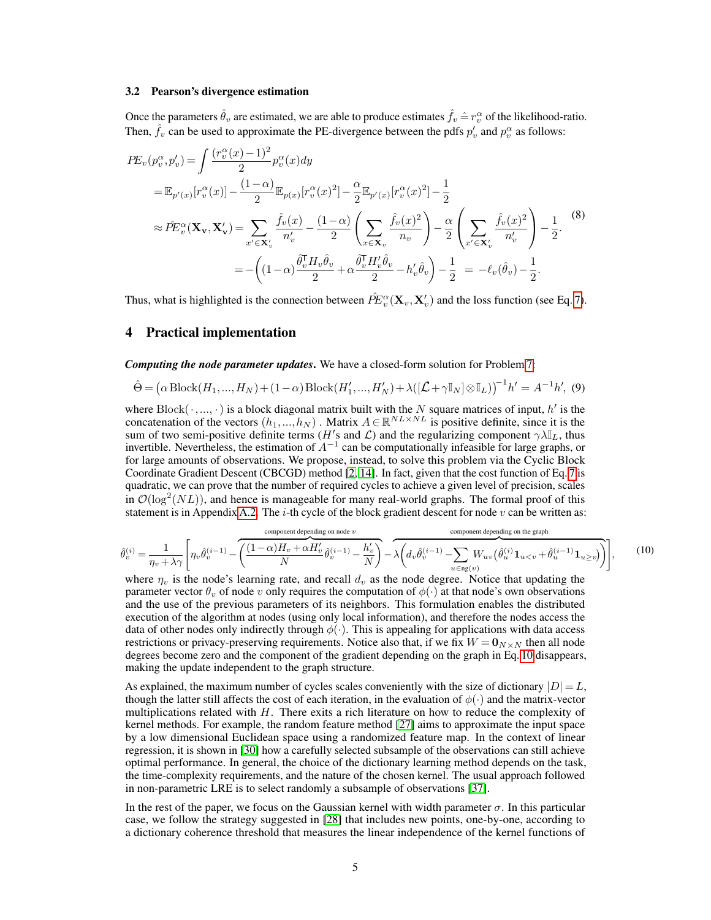#### <span id="page-4-2"></span>3.2 Pearson's divergence estimation

Once the parameters  $\hat{\theta}_v$  are estimated, we are able to produce estimates  $\hat{f}_v \hat{=} r_v^\alpha$  of the likelihood-ratio. Then,  $\hat{f}_v$  can be used to approximate the PE-divergence between the pdfs  $p'_v$  and  $p_v^{\alpha}$  as follows:

<span id="page-4-1"></span>
$$
PE_v(p_v^{\alpha}, p_v') = \int \frac{(r_v^{\alpha}(x) - 1)^2}{2} p_v^{\alpha}(x) dy
$$
  
\n
$$
= \mathbb{E}_{p'(x)}[r_v^{\alpha}(x)] - \frac{(1 - \alpha)}{2} \mathbb{E}_{p(x)}[r_v^{\alpha}(x)^2] - \frac{\alpha}{2} \mathbb{E}_{p'(x)}[r_v^{\alpha}(x)^2] - \frac{1}{2}
$$
  
\n
$$
\approx \hat{PE}_v^{\alpha}(\mathbf{X}_v, \mathbf{X}_v') = \sum_{x' \in \mathbf{X}_v'} \frac{\hat{f}_v(x)}{n_v'} - \frac{(1 - \alpha)}{2} \left( \sum_{x \in \mathbf{X}_v} \frac{\hat{f}_v(x)^2}{n_v} \right) - \frac{\alpha}{2} \left( \sum_{x' \in \mathbf{X}_v'} \frac{\hat{f}_v(x)^2}{n_v'} \right) - \frac{1}{2}.
$$
  
\n
$$
= -\left( (1 - \alpha) \frac{\hat{\theta}_v^{\mathsf{T}} H_v \hat{\theta}_v}{2} + \alpha \frac{\hat{\theta}_v^{\mathsf{T}} H_v' \hat{\theta}_v}{2} - h_v' \hat{\theta}_v \right) - \frac{1}{2} = -\ell_v(\hat{\theta}_v) - \frac{1}{2}.
$$
 (8)

Thus, what is highlighted is the connection between  $\hat{P}E_v^{\alpha}(\mathbf{X}_v, \mathbf{X}_v')$  and the loss function (see Eq. [7\)](#page-3-0).

# <span id="page-4-3"></span>4 Practical implementation

*Computing the node parameter updates*. We have a closed-form solution for Problem [7:](#page-3-0)

$$
\hat{\Theta} = \left(\alpha \operatorname{Block}(H_1, ..., H_N) + (1 - \alpha) \operatorname{Block}(H'_1, ..., H'_N) + \lambda \left( \left[ \mathcal{L} + \gamma \mathbb{I}_N \right] \otimes \mathbb{I}_L \right) \right)^{-1} h' = A^{-1} h', \tag{9}
$$

where  $Block(\cdot, ..., \cdot)$  is a block diagonal matrix built with the N square matrices of input, h' is the concatenation of the vectors  $(h_1,...,h_N)$ . Matrix  $A \in \mathbb{R}^{NL \times NL}$  is positive definite, since it is the sum of two semi-positive definite terms (H's and L) and the regularizing component  $\gamma \lambda \mathbb{I}_L$ , thus invertible. Nevertheless, the estimation of  $A^{-1}$  can be computationally infeasible for large graphs, or for large amounts of observations. We propose, instead, to solve this problem via the Cyclic Block Coordinate Gradient Descent (CBCGD) method [\[2,](#page-9-8) [14\]](#page-9-9). In fact, given that the cost function of Eq. [7](#page-3-0) is quadratic, we can prove that the number of required cycles to achieve a given level of precision, scales in  $\mathcal{O}(\log^2(NL))$ , and hence is manageable for many real-world graphs. The formal proof of this statement is in Appendix [A.2.](#page-13-0) The  $i$ -th cycle of the block gradient descent for node  $v$  can be written as:

<span id="page-4-0"></span>
$$
\hat{\theta}_{v}^{(i)} = \frac{1}{\eta_{v} + \lambda \gamma} \left[ \eta_{v} \hat{\theta}_{v}^{(i-1)} - \overbrace{\left( \frac{(1-\alpha)H_{v} + \alpha H_{v}'}{N} \hat{\theta}_{v}^{(i-1)} - \frac{h_{v}'}{N} \right)}^{\text{component depending on node } v} - \lambda \overbrace{\left( d_{v} \hat{\theta}_{v}^{(i-1)} - \sum_{u \in \text{ng}(v)} W_{uv} \left( \hat{\theta}_{u}^{(i)} \mathbf{1}_{u
$$

where  $\eta_v$  is the node's learning rate, and recall  $d_v$  as the node degree. Notice that updating the parameter vector  $\theta_v$  of node v only requires the computation of  $\phi(\cdot)$  at that node's own observations and the use of the previous parameters of its neighbors. This formulation enables the distributed execution of the algorithm at nodes (using only local information), and therefore the nodes access the data of other nodes only indirectly through  $\phi(\cdot)$ . This is appealing for applications with data access restrictions or privacy-preserving requirements. Notice also that, if we fix  $W = \mathbf{0}_{N \times N}$  then all node degrees become zero and the component of the gradient depending on the graph in Eq. [10](#page-4-0) disappears, making the update independent to the graph structure.

As explained, the maximum number of cycles scales conveniently with the size of dictionary  $|D| = L$ , though the latter still affects the cost of each iteration, in the evaluation of  $\phi(\cdot)$  and the matrix-vector multiplications related with  $H$ . There exits a rich literature on how to reduce the complexity of kernel methods. For example, the random feature method [\[27\]](#page-10-21) aims to approximate the input space by a low dimensional Euclidean space using a randomized feature map. In the context of linear regression, it is shown in [\[30\]](#page-10-22) how a carefully selected subsample of the observations can still achieve optimal performance. In general, the choice of the dictionary learning method depends on the task, the time-complexity requirements, and the nature of the chosen kernel. The usual approach followed in non-parametric LRE is to select randomly a subsample of observations [\[37\]](#page-10-2).

In the rest of the paper, we focus on the Gaussian kernel with width parameter  $\sigma$ . In this particular case, we follow the strategy suggested in [\[28\]](#page-10-23) that includes new points, one-by-one, according to a dictionary coherence threshold that measures the linear independence of the kernel functions of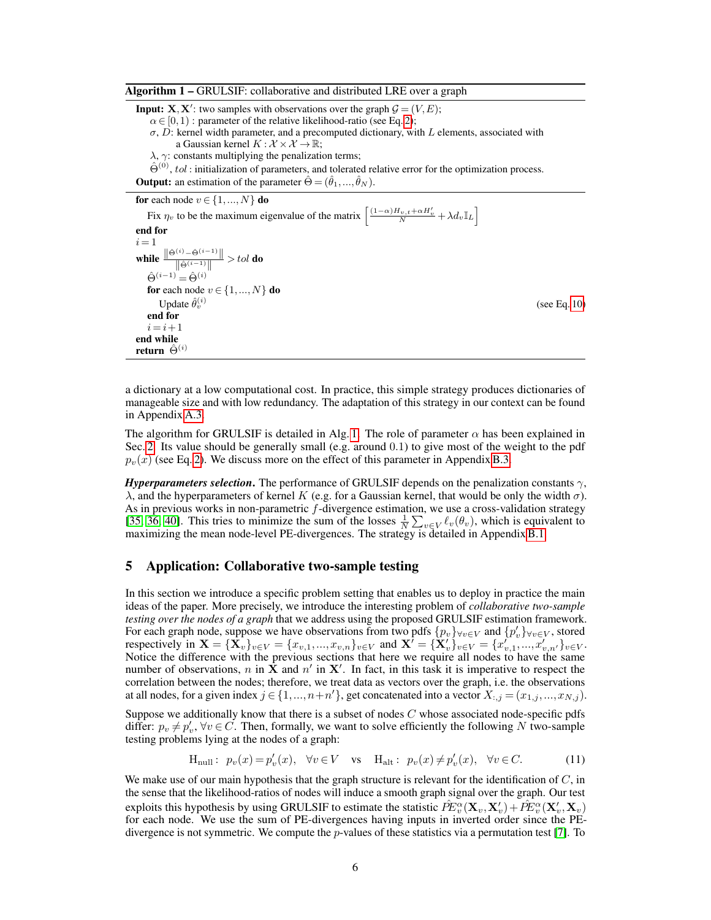<span id="page-5-1"></span>Algorithm 1 – GRULSIF: collaborative and distributed LRE over a graph

**Input: X**, **X**': two samples with observations over the graph  $\mathcal{G} = (V, E);$  $\alpha \in [0,1)$ : parameter of the relative likelihood-ratio (see Eq. [2\)](#page-2-0);  $\sigma$ , D: kernel width parameter, and a precomputed dictionary, with L elements, associated with a Gaussian kernel  $K : \mathcal{X} \times \mathcal{X} \to \mathbb{R}$ ;  $\lambda$ ,  $\gamma$ : constants multiplying the penalization terms;  $\hat{\Theta}^{(0)}$ , tol: initialization of parameters, and tolerated relative error for the optimization process. **Output:** an estimation of the parameter  $\hat{\Theta} = (\hat{\theta}_1, ..., \hat{\theta}_N)$ .

for each node  $v \in \{1, ..., N\}$  do

Fix  $\eta_v$  to be the maximum eigenvalue of the matrix  $\left[ \frac{(1-\alpha)H_{v,t} + \alpha H_v'}{N} + \lambda d_v \mathbb{I}_L \right]$ end for  $i = 1$ while  $\frac{\|\hat{\Theta}^{(i)} - \hat{\Theta}^{(i-1)}\|}{\|\hat{\Theta}^{(i-1)}\|} > tol$  do  $\hat{\Theta}^{(i-1)} = \hat{\Theta}^{(i)}$ for each node  $v \in \{1, ..., N\}$  do Update  $\hat{\theta}_{v}^{(i)}$  $(see Eq. 10)$  $(see Eq. 10)$ end for  $i = i + 1$ end while return $\,\hat{\Theta}^{(i)}\,$ 

a dictionary at a low computational cost. In practice, this simple strategy produces dictionaries of manageable size and with low redundancy. The adaptation of this strategy in our context can be found in Appendix [A.3.](#page-14-0)

The algorithm for GRULSIF is detailed in Alg. [1.](#page-5-1) The role of parameter  $\alpha$  has been explained in Sec. [2.](#page-1-0) Its value should be generally small (e.g. around 0.1) to give most of the weight to the pdf  $p_v(x)$  (see Eq. [2\)](#page-2-0). We discuss more on the effect of this parameter in Appendix [B.3.](#page-17-0)

*Hyperparameters selection*. The performance of GRULSIF depends on the penalization constants  $\gamma$ , λ, and the hyperparameters of kernel K (e.g. for a Gaussian kernel, that would be only the width  $\sigma$ ). As in previous works in non-parametric  $f$ -divergence estimation, we use a cross-validation strategy [\[35,](#page-10-19) [36,](#page-10-24) [40\]](#page-10-10). This tries to minimize the sum of the losses  $\frac{1}{N} \sum_{v \in V} \ell_v(\theta_v)$ , which is equivalent to maximizing the mean node-level PE-divergences. The strategy is detailed in Appendix [B.1.](#page-16-0)

## <span id="page-5-0"></span>5 Application: Collaborative two-sample testing

In this section we introduce a specific problem setting that enables us to deploy in practice the main ideas of the paper. More precisely, we introduce the interesting problem of *collaborative two-sample testing over the nodes of a graph* that we address using the proposed GRULSIF estimation framework. For each graph node, suppose we have observations from two pdfs  $\{p_v\}_{\forall v \in V}$  and  $\{p'_v\}_{\forall v \in V}$ , stored respectively in  $\mathbf{X} = {\{\mathbf{X}_v\}}_{v \in V} = {x_{v,1},...,x_{v,n}}_{v \in V}$  and  $\mathbf{X}^{\dagger} = {\{\mathbf{X}_v^{\prime}\}}_{v \in V} = {x_{v,1}^{\prime},...,x_{v,n^{\prime}}^{\prime}}_{v \in V}$ . Notice the difference with the previous sections that here we require all nodes to have the same number of observations, n in  $\tilde{\mathbf{X}}$  and  $n'$  in  $\mathbf{X}'$ . In fact, in this task it is imperative to respect the correlation between the nodes; therefore, we treat data as vectors over the graph, i.e. the observations at all nodes, for a given index  $j \in \{1, ..., n+n'\}$ , get concatenated into a vector  $X_{:,j} = (x_{1,j}, ..., x_{N,j}).$ 

Suppose we additionally know that there is a subset of nodes  $C$  whose associated node-specific pdfs differ:  $p_v \neq p'_v$ ,  $\forall v \in C$ . Then, formally, we want to solve efficiently the following N two-sample testing problems lying at the nodes of a graph:

<span id="page-5-2"></span>
$$
\mathcal{H}_{\text{null}}: \ p_v(x) = p'_v(x), \quad \forall v \in V \quad \text{vs} \quad \mathcal{H}_{\text{alt}}: \ p_v(x) \neq p'_v(x), \quad \forall v \in C. \tag{11}
$$

We make use of our main hypothesis that the graph structure is relevant for the identification of  $C$ , in the sense that the likelihood-ratios of nodes will induce a smooth graph signal over the graph. Our test exploits this hypothesis by using GRULSIF to estimate the statistic  $\hat{P}\!E_v^\alpha(\mathbf X_v, \mathbf X_v')+\hat{P}\!E_v^\alpha(\mathbf X_v', \mathbf X_v)$ for each node. We use the sum of PE-divergences having inputs in inverted order since the PEdivergence is not symmetric. We compute the  $p$ -values of these statistics via a permutation test [\[7\]](#page-9-10). To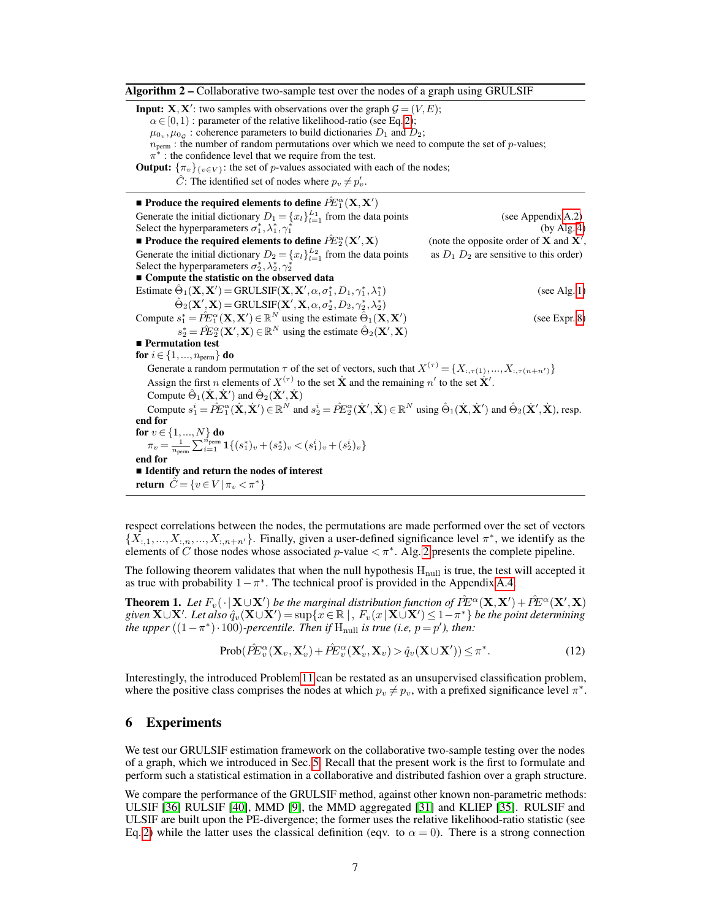<span id="page-6-0"></span>Algorithm 2 – Collaborative two-sample test over the nodes of a graph using GRULSIF

**Input: X**, **X**': two samples with observations over the graph  $\mathcal{G} = (V, E);$  $\alpha \in [0,1)$ : parameter of the relative likelihood-ratio (see Eq. [2\)](#page-2-0);  $\mu_{0_v}, \mu_{0_g}$ : coherence parameters to build dictionaries  $D_1$  and  $D_2$ ;  $n_{\text{perm}}$ : the number of random permutations over which we need to compute the set of p-values;  $\pi^*$ : the confidence level that we require from the test. **Output:**  $\{\pi_v\}_{\{v \in V\}}$ : the set of p-values associated with each of the nodes;  $\hat{C}$ : The identified set of nodes where  $p_v \neq p'_v$ .  $\blacksquare$  Produce the required elements to define  $\hat{P}\!E_{1}^{\alpha}(\mathbf{X},\mathbf{X}')$ Generate the initial dictionary  $D_1 = \{x_l\}_{l=1}^{L_1}$  from the data points (see Appendix [A.2\)](#page-13-0) Select the hyperparameters  $\sigma_1^*, \lambda_1^*, \gamma_1^*$  $(by$  Alg. [4\)](#page-17-1)  $\blacksquare$  Produce the required elements to define  $\hat{P}\!E^{\alpha}_2(\mathbf{X}^\prime)$  $(X)$  (note the opposite order of **X** and **X**<sup>'</sup>, Generate the initial dictionary  $D_2 = \{x_l\}_{l=1}^{L_2}$ as  $D_1$   $D_2$  are sensitive to this order) Select the hyperparameters  $\sigma_2^*, \lambda_2^*, \gamma_2^*$  $\blacksquare$  Compute the statistic on the observed data Estimate  $\hat{\Theta}_1(\mathbf{X}, \mathbf{X}') = \text{GRULSIF}(\mathbf{X}, \mathbf{X}', \alpha, \sigma_1^*, D_1, \gamma_1^*, \lambda_1^*$  $(see Alg. 1)$  $(see Alg. 1)$  $\hat{\Theta}_2(\mathbf{X}', \mathbf{X}) = \text{GRULSIF}(\mathbf{X}', \mathbf{X}, \alpha, \sigma_2^*, D_2, \gamma_2^*, \lambda_2^*)$ Compute  $s_1^* = \hat{P}E_1^{\alpha}(\mathbf{X}, \mathbf{X}') \in \mathbb{R}^N$  using the estimate  $\hat{\Theta}_1(\mathbf{X}, \mathbf{X}')$ ) (see Expr. [8\)](#page-4-1)  $s_2^* = \hat{P}E_2^{\alpha}(\mathbf{X}', \mathbf{X}) \in \mathbb{R}^N$  using the estimate  $\hat{\Theta}_2(\mathbf{X}', \mathbf{X})$ **Permutation test** for  $i \in \{1, ..., n_{perm}\}$  do Generate a random permutation  $\tau$  of the set of vectors, such that  $X^{(\tau)} = \{X_{\cdot,\tau(1)},...,X_{\cdot,\tau(n+n')}\}\$ Assign the first *n* elements of  $X^{(\tau)}$  to the set  $\dot{\mathbf{X}}$  and the remaining *n'* to the set  $\dot{\mathbf{X}}'$ . Compute  $\hat{\Theta}_1(\dot{\mathbf{X}}, \dot{\mathbf{X}}')$  and  $\hat{\Theta}_2(\dot{\mathbf{X}}', \dot{\mathbf{X}})$ Compute  $s_1^i = \hat{P}E_1^{\alpha}(\dot{\mathbf{X}}, \dot{\mathbf{X}}') \in \mathbb{R}^N$  and  $s_2^i = \hat{P}E_2^{\alpha}(\dot{\mathbf{X}}', \dot{\mathbf{X}}) \in \mathbb{R}^N$  using  $\hat{\Theta}_1(\dot{\mathbf{X}}, \dot{\mathbf{X}}')$  and  $\hat{\Theta}_2(\dot{\mathbf{X}}', \dot{\mathbf{X}})$ , resp. end for for  $v \in \{1, ..., N\}$  do  $\pi_v = \frac{1}{n_{\text{perm}}}\sum_{i=1}^{n_{\text{perm}}} \mathbf{1}\{(s_1^*)_v + (s_2^*)_v < (s_1^i)_v + (s_2^i)_v\}$ end for Identify and return the nodes of interest return  $\hat{C} = \{v \in V \,|\, \pi_v < \pi^*\}$ 

respect correlations between the nodes, the permutations are made performed over the set of vectors  $\{X_{i,1},...,X_{i,n},...,X_{i,n+n'}\}$ . Finally, given a user-defined significance level  $\pi^*$ , we identify as the elements of C those nodes whose associated p-value  $\langle \pi^* \rangle$ . Alg. [2](#page-6-0) presents the complete pipeline.

The following theorem validates that when the null hypothesis  $H_{null}$  is true, the test will accepted it as true with probability  $1 - \pi^*$ . The technical proof is provided in the Appendix [A.4.](#page-16-1)

<span id="page-6-1"></span>**Theorem 1.** Let  $F_v(\cdot | \mathbf{X} \cup \mathbf{X}')$  be the marginal distribution function of  $\hat{P}E^{\alpha}(\mathbf{X}, \mathbf{X}') + \hat{P}E^{\alpha}(\mathbf{X}', \mathbf{X})$ given  $\mathbf{X}\cup\mathbf{X}'$ *. Let also*  $\hat{q}_v(\mathbf{X}\cup\mathbf{X}')=\sup\{\stackrel{x}{x}\in\mathbb{R} \mid,~F_v(x\,|\,\mathbf{X}\cup\mathbf{X}')\leq 1-\pi^*\}$  *be the point determining the upper*  $((1 - \pi^*) \cdot 100)$ -percentile. Then if  $H_{null}$  is true (i.e,  $p = p'$ ), then:

$$
\text{Prob}(\hat{P}\hat{E}_{v}^{\alpha}(\mathbf{X}_{v}, \mathbf{X}_{v}') + \hat{P}\hat{E}_{v}^{\alpha}(\mathbf{X}_{v}', \mathbf{X}_{v}) > \hat{q}_{v}(\mathbf{X} \cup \mathbf{X}')) \leq \pi^{*}.
$$
\n(12)

Interestingly, the introduced Problem [11](#page-5-2) can be restated as an unsupervised classification problem, where the positive class comprises the nodes at which  $p_v \neq p_v$ , with a prefixed significance level  $\pi^*$ .

## <span id="page-6-2"></span>6 Experiments

We test our GRULSIF estimation framework on the collaborative two-sample testing over the nodes of a graph, which we introduced in Sec. [5.](#page-5-0) Recall that the present work is the first to formulate and perform such a statistical estimation in a collaborative and distributed fashion over a graph structure.

We compare the performance of the GRULSIF method, against other known non-parametric methods: ULSIF [\[36\]](#page-10-24) RULSIF [\[40\]](#page-10-10), MMD [\[9\]](#page-9-11), the MMD aggregated [\[31\]](#page-10-25) and KLIEP [\[35\]](#page-10-19). RULSIF and ULSIF are built upon the PE-divergence; the former uses the relative likelihood-ratio statistic (see Eq. [2\)](#page-2-0) while the latter uses the classical definition (eqv. to  $\alpha = 0$ ). There is a strong connection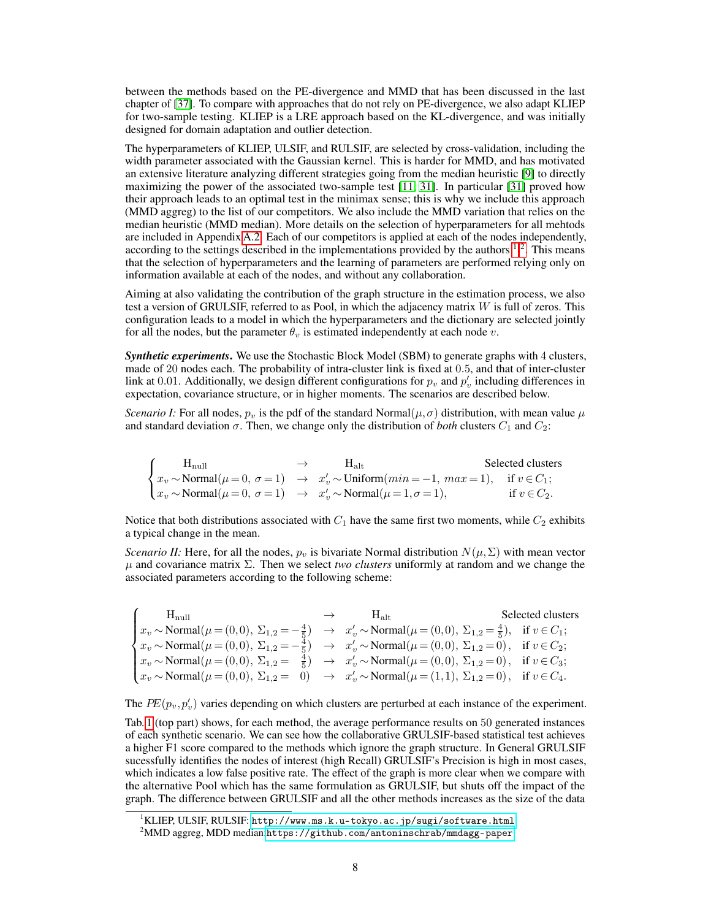between the methods based on the PE-divergence and MMD that has been discussed in the last chapter of [\[37\]](#page-10-2). To compare with approaches that do not rely on PE-divergence, we also adapt KLIEP for two-sample testing. KLIEP is a LRE approach based on the KL-divergence, and was initially designed for domain adaptation and outlier detection.

The hyperparameters of KLIEP, ULSIF, and RULSIF, are selected by cross-validation, including the width parameter associated with the Gaussian kernel. This is harder for MMD, and has motivated an extensive literature analyzing different strategies going from the median heuristic [\[9\]](#page-9-11) to directly maximizing the power of the associated two-sample test [\[11,](#page-9-12) [31\]](#page-10-25). In particular [\[31\]](#page-10-25) proved how their approach leads to an optimal test in the minimax sense; this is why we include this approach (MMD aggreg) to the list of our competitors. We also include the MMD variation that relies on the median heuristic (MMD median). More details on the selection of hyperparameters for all mehtods are included in Appendix [A.2.](#page-13-0) Each of our competitors is applied at each of the nodes independently, according to the settings described in the implementations provided by the authors  $1^2$  $1^2$ . This means that the selection of hyperparameters and the learning of parameters are performed relying only on information available at each of the nodes, and without any collaboration.

Aiming at also validating the contribution of the graph structure in the estimation process, we also test a version of GRULSIF, referred to as Pool, in which the adjacency matrix  $W$  is full of zeros. This configuration leads to a model in which the hyperparameters and the dictionary are selected jointly for all the nodes, but the parameter  $\theta_v$  is estimated independently at each node v.

*Synthetic experiments*. We use the Stochastic Block Model (SBM) to generate graphs with 4 clusters, made of 20 nodes each. The probability of intra-cluster link is fixed at 0.5, and that of inter-cluster link at 0.01. Additionally, we design different configurations for  $p_v$  and  $p'_v$  including differences in expectation, covariance structure, or in higher moments. The scenarios are described below.

*Scenario I:* For all nodes,  $p_v$  is the pdf of the standard Normal $(\mu, \sigma)$  distribution, with mean value  $\mu$ and standard deviation  $\sigma$ . Then, we change only the distribution of *both* clusters  $C_1$  and  $C_2$ :

$$
\begin{cases}\n\text{H}_{\text{null}} & \to & \text{H}_{\text{alt}} \\
x_v \sim \text{Normal}(\mu = 0, \ \sigma = 1) & \to & x'_v \sim \text{Uniform}(min = -1, \ max = 1), \quad \text{if } v \in C_1; \\
x_v \sim \text{Normal}(\mu = 0, \ \sigma = 1) & \to & x'_v \sim \text{Normal}(\mu = 1, \sigma = 1), \quad \text{if } v \in C_2.\n\end{cases}
$$

Notice that both distributions associated with  $C_1$  have the same first two moments, while  $C_2$  exhibits a typical change in the mean.

*Scenario II:* Here, for all the nodes,  $p_v$  is bivariate Normal distribution  $N(\mu, \Sigma)$  with mean vector  $\mu$  and covariance matrix  $\Sigma$ . Then we select *two clusters* uniformly at random and we change the associated parameters according to the following scheme:

| $H_{null}$                                                                                                                                                                        | $\rightarrow$ H <sub>alt</sub> | Selected clusters |
|-----------------------------------------------------------------------------------------------------------------------------------------------------------------------------------|--------------------------------|-------------------|
| $x_v \sim \text{Normal}(\mu = (0,0), \Sigma_{1,2} = -\frac{4}{5}) \rightarrow x_v' \sim \text{Normal}(\mu = (0,0), \Sigma_{1,2} = \frac{4}{5}), \text{ if } v \in C_1;$           |                                |                   |
| $\left\{ x_v \sim \text{Normal}(\mu = (0,0), \ \Sigma_{1,2} = -\frac{4}{5} \right\} \rightarrow x'_v \sim \text{Normal}(\mu = (0,0), \ \Sigma_{1,2} = 0), \text{ if } v \in C_2;$ |                                |                   |
| $x_v \sim \text{Normal}(\mu = (0,0), \Sigma_{1,2} = \frac{4}{5}) \rightarrow x_v' \sim \text{Normal}(\mu = (0,0), \Sigma_{1,2} = 0), \text{ if } v \in C_3;$                      |                                |                   |
| $\left(x_v \sim \text{Normal}(\mu = (0,0), \Sigma_{1,2} = 0) \rightarrow x'_v \sim \text{Normal}(\mu = (1,1), \Sigma_{1,2} = 0), \text{ if } v \in C_4. \right)$                  |                                |                   |

The  $PE(p_v, p'_v)$  varies depending on which clusters are perturbed at each instance of the experiment.

Tab. [1](#page-8-0) (top part) shows, for each method, the average performance results on 50 generated instances of each synthetic scenario. We can see how the collaborative GRULSIF-based statistical test achieves a higher F1 score compared to the methods which ignore the graph structure. In General GRULSIF sucessfully identifies the nodes of interest (high Recall) GRULSIF's Precision is high in most cases, which indicates a low false positive rate. The effect of the graph is more clear when we compare with the alternative Pool which has the same formulation as GRULSIF, but shuts off the impact of the graph. The difference between GRULSIF and all the other methods increases as the size of the data

<span id="page-7-0"></span> $^{\rm 1}$ KLIEP, ULSIF, RULSIF: <http://www.ms.k.u-tokyo.ac.jp/sugi/software.html>

<span id="page-7-1"></span> $^{2}$ MMD aggreg, MDD median:<https://github.com/antoninschrab/mmdagg-paper>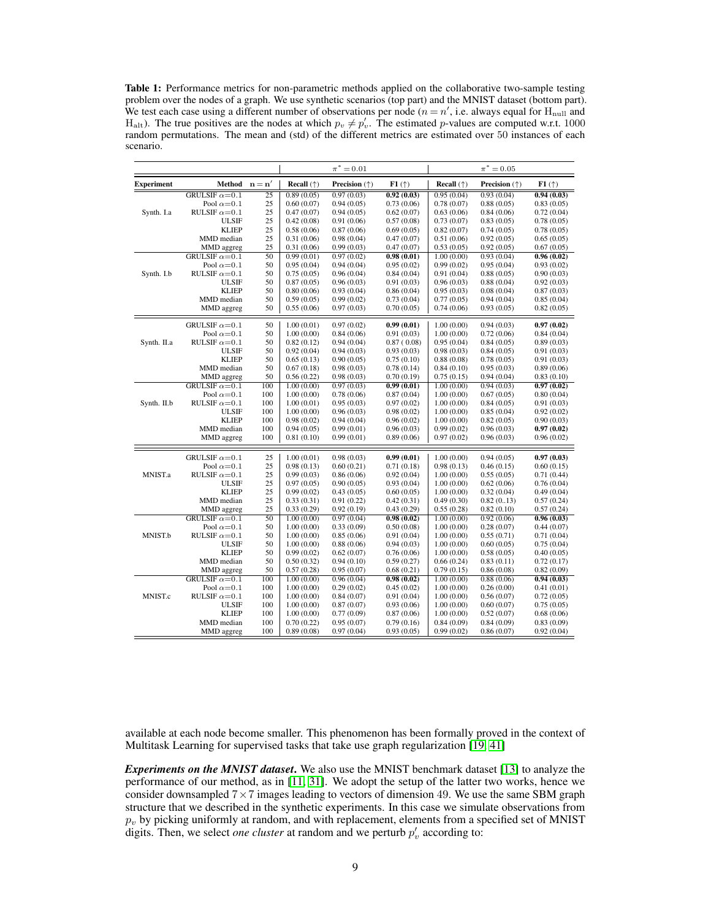<span id="page-8-0"></span>Table 1: Performance metrics for non-parametric methods applied on the collaborative two-sample testing problem over the nodes of a graph. We use synthetic scenarios (top part) and the MNIST dataset (bottom part). We test each case using a different number of observations per node ( $n = n'$ , i.e. always equal for  $H_{null}$  and H<sub>alt</sub>). The true positives are the nodes at which  $p_v \neq p'_v$ . The estimated p-values are computed w.r.t. 1000 random permutations. The mean and (std) of the different metrics are estimated over 50 instances of each scenario.

|                   |                        |                 |                     | $\pi^* = 0.01$                |            |                            | $\pi^* = 0.05$                |            |
|-------------------|------------------------|-----------------|---------------------|-------------------------------|------------|----------------------------|-------------------------------|------------|
| <b>Experiment</b> | Method $n = n'$        |                 | <b>Recall</b> $(†)$ | <b>Precision</b> $(\uparrow)$ | F1(†)      | <b>Recall</b> $(\uparrow)$ | <b>Precision</b> $(\uparrow)$ | F1(†)      |
|                   | GRULSIF $\alpha = 0.1$ | $\overline{25}$ | 0.89(0.05)          | 0.97(0.03)                    | 0.92(0.03) | 0.95(0.04)                 | 0.93(0.04)                    | 0.94(0.03) |
|                   | Pool $\alpha = 0.1$    | 25              | 0.60(0.07)          | 0.94(0.05)                    | 0.73(0.06) | 0.78(0.07)                 | 0.88(0.05)                    | 0.83(0.05) |
| Synth. I.a        | RULSIF $\alpha = 0.1$  | 25              | 0.47(0.07)          | 0.94(0.05)                    | 0.62(0.07) | 0.63(0.06)                 | 0.84(0.06)                    | 0.72(0.04) |
|                   | <b>ULSIF</b>           | 25              | 0.42(0.08)          | 0.91(0.06)                    | 0.57(0.08) | 0.73(0.07)                 | 0.83(0.05)                    | 0.78(0.05) |
|                   | <b>KLIEP</b>           | 25              | 0.58(0.06)          | 0.87(0.06)                    | 0.69(0.05) | 0.82(0.07)                 | 0.74(0.05)                    | 0.78(0.05) |
|                   | MMD median             | 25              | 0.31(0.06)          | 0.98(0.04)                    | 0.47(0.07) | 0.51(0.06)                 | 0.92(0.05)                    | 0.65(0.05) |
|                   | MMD aggreg             | 25              | 0.31(0.06)          | 0.99(0.03)                    | 0.47(0.07) | 0.53(0.05)                 | 0.92(0.05)                    | 0.67(0.05) |
|                   | GRULSIF $\alpha = 0.1$ | 50              | 0.99(0.01)          | 0.97(0.02)                    | 0.98(0.01) | 1.00(0.00)                 | 0.93(0.04)                    | 0.96(0.02) |
|                   | Pool $\alpha = 0.1$    | 50              | 0.95(0.04)          | 0.94(0.04)                    | 0.95(0.02) | 0.99(0.02)                 | 0.95(0.04)                    | 0.93(0.02) |
| Synth. I.b        | RULSIF $\alpha = 0.1$  | 50              | 0.75(0.05)          | 0.96(0.04)                    | 0.84(0.04) | 0.91(0.04)                 | 0.88(0.05)                    | 0.90(0.03) |
|                   | <b>ULSIF</b>           | 50              | 0.87(0.05)          | 0.96(0.03)                    | 0.91(0.03) | 0.96(0.03)                 | 0.88(0.04)                    | 0.92(0.03) |
|                   | <b>KLIEP</b>           | 50              | 0.80(0.06)          | 0.93(0.04)                    | 0.86(0.04) | 0.95(0.03)                 | 0.08(0.04)                    | 0.87(0.03) |
|                   | MMD median             | 50              | 0.59(0.05)          | 0.99(0.02)                    | 0.73(0.04) | 0.77(0.05)                 | 0.94(0.04)                    | 0.85(0.04) |
|                   | MMD aggreg             | 50              | 0.55(0.06)          | 0.97(0.03)                    | 0.70(0.05) | 0.74(0.06)                 | 0.93(0.05)                    | 0.82(0.05) |
|                   | GRULSIF $\alpha = 0.1$ | 50              | 1.00(0.01)          | 0.97(0.02)                    | 0.99(0.01) | 1.00(0.00)                 | 0.94(0.03)                    | 0.97(0.02) |
|                   | Pool $\alpha = 0.1$    | 50              | 1.00(0.00)          | 0.84(0.06)                    | 0.91(0.03) | 1.00(0.00)                 | 0.72(0.06)                    | 0.84(0.04) |
| Synth. II.a       | RULSIF $\alpha = 0.1$  | 50              | 0.82(0.12)          | 0.94(0.04)                    | 0.87(0.08) | 0.95(0.04)                 | 0.84(0.05)                    | 0.89(0.03) |
|                   | <b>ULSIF</b>           | 50              | 0.92(0.04)          | 0.94(0.03)                    | 0.93(0.03) | 0.98(0.03)                 | 0.84(0.05)                    | 0.91(0.03) |
|                   | <b>KLIEP</b>           | 50              | 0.65(0.13)          | 0.90(0.05)                    | 0.75(0.10) | 0.88(0.08)                 | 0.78(0.05)                    | 0.91(0.03) |
|                   | MMD median             | 50              | 0.67(0.18)          | 0.98(0.03)                    | 0.78(0.14) | 0.84(0.10)                 | 0.95(0.03)                    | 0.89(0.06) |
|                   | MMD aggreg             | 50              | 0.56(0.22)          | 0.98(0.03)                    | 0.70(0.19) | 0.75(0.15)                 | 0.94(0.04)                    | 0.83(0.10) |
|                   | GRULSIF $\alpha = 0.1$ | 100             | 1.00(0.00)          | 0.97(0.03)                    | 0.99(0.01) | 1.00(0.00)                 | 0.94(0.03)                    | 0.97(0.02) |
|                   | Pool $\alpha = 0.1$    | 100             | 1.00(0.00)          | 0.78(0.06)                    | 0.87(0.04) | 1.00(0.00)                 | 0.67(0.05)                    | 0.80(0.04) |
| Synth. II.b       | RULSIF $\alpha = 0.1$  | 100             | 1.00(0.01)          | 0.95(0.03)                    | 0.97(0.02) | 1.00(0.00)                 | 0.84(0.05)                    | 0.91(0.03) |
|                   | <b>ULSIF</b>           | 100             | 1.00(0.00)          | 0.96(0.03)                    | 0.98(0.02) | 1.00(0.00)                 | 0.85(0.04)                    | 0.92(0.02) |
|                   | <b>KLIEP</b>           | 100             | 0.98(0.02)          | 0.94(0.04)                    | 0.96(0.02) | 1.00(0.00)                 | 0.82(0.05)                    | 0.90(0.03) |
|                   | MMD median             | 100             | 0.94(0.05)          | 0.99(0.01)                    | 0.96(0.03) | 0.99(0.02)                 | 0.96(0.03)                    | 0.97(0.02) |
|                   | MMD aggreg             | 100             | 0.81(0.10)          | 0.99(0.01)                    | 0.89(0.06) | 0.97(0.02)                 | 0.96(0.03)                    | 0.96(0.02) |
|                   | GRULSIF $\alpha = 0.1$ | 25              | 1.00(0.01)          | 0.98(0.03)                    | 0.99(0.01) | 1.00(0.00)                 | 0.94(0.05)                    | 0.97(0.03) |
|                   | Pool $\alpha = 0.1$    | 25              | 0.98(0.13)          | 0.60(0.21)                    | 0.71(0.18) | 0.98(0.13)                 | 0.46(0.15)                    | 0.60(0.15) |
| MNIST.a           | RULSIF $\alpha = 0.1$  | 25              | 0.99(0.03)          | 0.86(0.06)                    | 0.92(0.04) | 1.00(0.00)                 | 0.55(0.05)                    | 0.71(0.44) |
|                   | <b>ULSIF</b>           | 25              | 0.97(0.05)          | 0.90(0.05)                    | 0.93(0.04) | 1.00(0.00)                 | 0.62(0.06)                    | 0.76(0.04) |
|                   | <b>KLIEP</b>           | 25              | 0.99(0.02)          | 0.43(0.05)                    | 0.60(0.05) | 1.00(0.00)                 | 0.32(0.04)                    | 0.49(0.04) |
|                   | MMD median             | 25              | 0.33(0.31)          | 0.91(0.22)                    | 0.42(0.31) | 0.49(0.30)                 | 0.82(0.13)                    | 0.57(0.24) |
|                   | MMD aggreg             | 25              | 0.33(0.29)          | 0.92(0.19)                    | 0.43(0.29) | 0.55(0.28)                 | 0.82(0.10)                    | 0.57(0.24) |
|                   | GRULSIF $\alpha = 0.1$ | 50              | 1.00(0.00)          | 0.97(0.04)                    | 0.98(0.02) | 1.00(0.00)                 | 0.92(0.06)                    | 0.96(0.03) |
|                   | Pool $\alpha = 0.1$    | 50              | 1.00(0.00)          | 0.33(0.09)                    | 0.50(0.08) | 1.00(0.00)                 | 0.28(0.07)                    | 0.44(0.07) |
| MNIST.b           | RULSIF $\alpha = 0.1$  | 50              | 1.00(0.00)          | 0.85(0.06)                    | 0.91(0.04) | 1.00(0.00)                 | 0.55(0.71)                    | 0.71(0.04) |
|                   | <b>ULSIF</b>           | 50              | 1.00(0.00)          | 0.88(0.06)                    | 0.94(0.03) | 1.00(0.00)                 | 0.60(0.05)                    | 0.75(0.04) |
|                   | <b>KLIEP</b>           | 50              | 0.99(0.02)          | 0.62(0.07)                    | 0.76(0.06) | 1.00(0.00)                 | 0.58(0.05)                    | 0.40(0.05) |
|                   | MMD median             | 50              | 0.50(0.32)          | 0.94(0.10)                    | 0.59(0.27) | 0.66(0.24)                 | 0.83(0.11)                    | 0.72(0.17) |
|                   | MMD aggreg             | 50              | 0.57(0.28)          | 0.95(0.07)                    | 0.68(0.21) | 0.79(0.15)                 | 0.86(0.08)                    | 0.82(0.09) |
|                   | GRULSIF $\alpha = 0.1$ | 100             | 1.00(0.00)          | 0.96(0.04)                    | 0.98(0.02) | 1.00(0.00)                 | 0.88(0.06)                    | 0.94(0.03) |
|                   | Pool $\alpha = 0.1$    | 100             | 1.00(0.00)          | 0.29(0.02)                    | 0.45(0.02) | 1.00(0.00)                 | 0.26(0.00)                    | 0.41(0.01) |
| MNIST.c           | RULSIF $\alpha = 0.1$  | 100             | 1.00(0.00)          | 0.84(0.07)                    | 0.91(0.04) | 1.00(0.00)                 | 0.56(0.07)                    | 0.72(0.05) |
|                   | <b>ULSIF</b>           | 100             | 1.00(0.00)          | 0.87(0.07)                    | 0.93(0.06) | 1.00(0.00)                 | 0.60(0.07)                    | 0.75(0.05) |
|                   | <b>KLIEP</b>           | 100             | 1.00(0.00)          | 0.77(0.09)                    | 0.87(0.06) | 1.00(0.00)                 | 0.52(0.07)                    | 0.68(0.06) |
|                   | MMD median             | 100             | 0.70(0.22)          | 0.95(0.07)                    | 0.79(0.16) | 0.84(0.09)                 | 0.84(0.09)                    | 0.83(0.09) |
|                   | MMD aggreg             | 100             | 0.89(0.08)          | 0.97(0.04)                    | 0.93(0.05) | 0.99(0.02)                 | 0.86(0.07)                    | 0.92(0.04) |

available at each node become smaller. This phenomenon has been formally proved in the context of Multitask Learning for supervised tasks that take use graph regularization [\[19,](#page-10-15) [41\]](#page-11-0)

*Experiments on the MNIST dataset*. We also use the MNIST benchmark dataset [\[13\]](#page-9-13) to analyze the performance of our method, as in [\[11,](#page-9-12) [31\]](#page-10-25). We adopt the setup of the latter two works, hence we consider downsampled  $7 \times 7$  images leading to vectors of dimension 49. We use the same SBM graph structure that we described in the synthetic experiments. In this case we simulate observations from  $p_v$  by picking uniformly at random, and with replacement, elements from a specified set of MNIST digits. Then, we select *one cluster* at random and we perturb  $p'_v$  according to: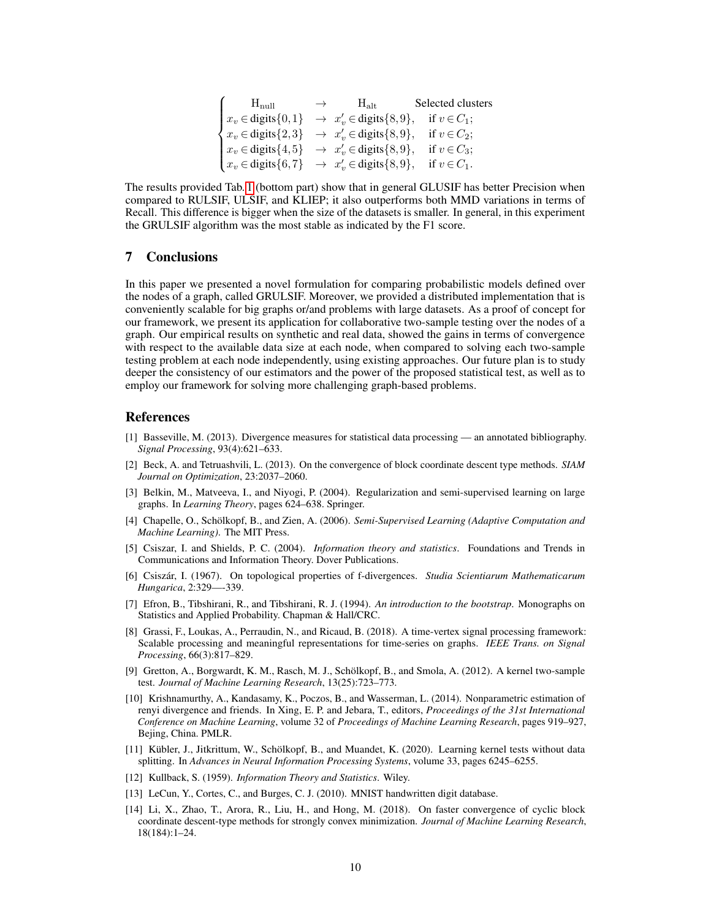| $H_{\text{null}}$                                                                                                                                                  | $\rightarrow$ | $H_{\rm alt}$ | Selected clusters |
|--------------------------------------------------------------------------------------------------------------------------------------------------------------------|---------------|---------------|-------------------|
| $x_v \in \text{digits}\{0,1\} \rightarrow x'_v \in \text{digits}\{8,9\},$                                                                                          |               |               | if $v \in C_1$ ;  |
| $\begin{cases} x_v \in \text{digits}\{2,3\} & \to x'_v \in \text{digits}\{8,9\}, \\ x_v \in \text{digits}\{4,5\} & \to x'_v \in \text{digits}\{8,9\}, \end{cases}$ |               |               | if $v \in C_2$ ;  |
|                                                                                                                                                                    |               |               | if $v \in C_3$ ;  |
| $\big\{x_v \in \text{digits}\{6,7\} \rightarrow x'_v \in \text{digits}\{8,9\},\$                                                                                   |               |               | if $v \in C_1$ .  |

The results provided Tab. [1](#page-8-0) (bottom part) show that in general GLUSIF has better Precision when compared to RULSIF, ULSIF, and KLIEP; it also outperforms both MMD variations in terms of Recall. This difference is bigger when the size of the datasets is smaller. In general, in this experiment the GRULSIF algorithm was the most stable as indicated by the F1 score.

## 7 Conclusions

In this paper we presented a novel formulation for comparing probabilistic models defined over the nodes of a graph, called GRULSIF. Moreover, we provided a distributed implementation that is conveniently scalable for big graphs or/and problems with large datasets. As a proof of concept for our framework, we present its application for collaborative two-sample testing over the nodes of a graph. Our empirical results on synthetic and real data, showed the gains in terms of convergence with respect to the available data size at each node, when compared to solving each two-sample testing problem at each node independently, using existing approaches. Our future plan is to study deeper the consistency of our estimators and the power of the proposed statistical test, as well as to employ our framework for solving more challenging graph-based problems.

## References

- <span id="page-9-0"></span>[1] Basseville, M. (2013). Divergence measures for statistical data processing — an annotated bibliography. *Signal Processing*, 93(4):621–633.
- <span id="page-9-8"></span>[2] Beck, A. and Tetruashvili, L. (2013). On the convergence of block coordinate descent type methods. *SIAM Journal on Optimization*, 23:2037–2060.
- <span id="page-9-5"></span>[3] Belkin, M., Matveeva, I., and Niyogi, P. (2004). Regularization and semi-supervised learning on large graphs. In *Learning Theory*, pages 624–638. Springer.
- <span id="page-9-6"></span>[4] Chapelle, O., Schölkopf, B., and Zien, A. (2006). *Semi-Supervised Learning (Adaptive Computation and Machine Learning)*. The MIT Press.
- <span id="page-9-1"></span>[5] Csiszar, I. and Shields, P. C. (2004). *Information theory and statistics*. Foundations and Trends in Communications and Information Theory. Dover Publications.
- <span id="page-9-7"></span>[6] Csiszár, I. (1967). On topological properties of f-divergences. *Studia Scientiarum Mathematicarum Hungarica*, 2:329—-339.
- <span id="page-9-10"></span>[7] Efron, B., Tibshirani, R., and Tibshirani, R. J. (1994). *An introduction to the bootstrap*. Monographs on Statistics and Applied Probability. Chapman & Hall/CRC.
- <span id="page-9-4"></span>[8] Grassi, F., Loukas, A., Perraudin, N., and Ricaud, B. (2018). A time-vertex signal processing framework: Scalable processing and meaningful representations for time-series on graphs. *IEEE Trans. on Signal Processing*, 66(3):817–829.
- <span id="page-9-11"></span>[9] Gretton, A., Borgwardt, K. M., Rasch, M. J., Schölkopf, B., and Smola, A. (2012). A kernel two-sample test. *Journal of Machine Learning Research*, 13(25):723–773.
- <span id="page-9-3"></span>[10] Krishnamurthy, A., Kandasamy, K., Poczos, B., and Wasserman, L. (2014). Nonparametric estimation of renyi divergence and friends. In Xing, E. P. and Jebara, T., editors, *Proceedings of the 31st International Conference on Machine Learning*, volume 32 of *Proceedings of Machine Learning Research*, pages 919–927, Bejing, China. PMLR.
- <span id="page-9-12"></span>[11] Kübler, J., Jitkrittum, W., Schölkopf, B., and Muandet, K. (2020). Learning kernel tests without data splitting. In *Advances in Neural Information Processing Systems*, volume 33, pages 6245–6255.
- <span id="page-9-2"></span>[12] Kullback, S. (1959). *Information Theory and Statistics*. Wiley.
- <span id="page-9-13"></span>[13] LeCun, Y., Cortes, C., and Burges, C. J. (2010). MNIST handwritten digit database.
- <span id="page-9-9"></span>[14] Li, X., Zhao, T., Arora, R., Liu, H., and Hong, M. (2018). On faster convergence of cyclic block coordinate descent-type methods for strongly convex minimization. *Journal of Machine Learning Research*, 18(184):1–24.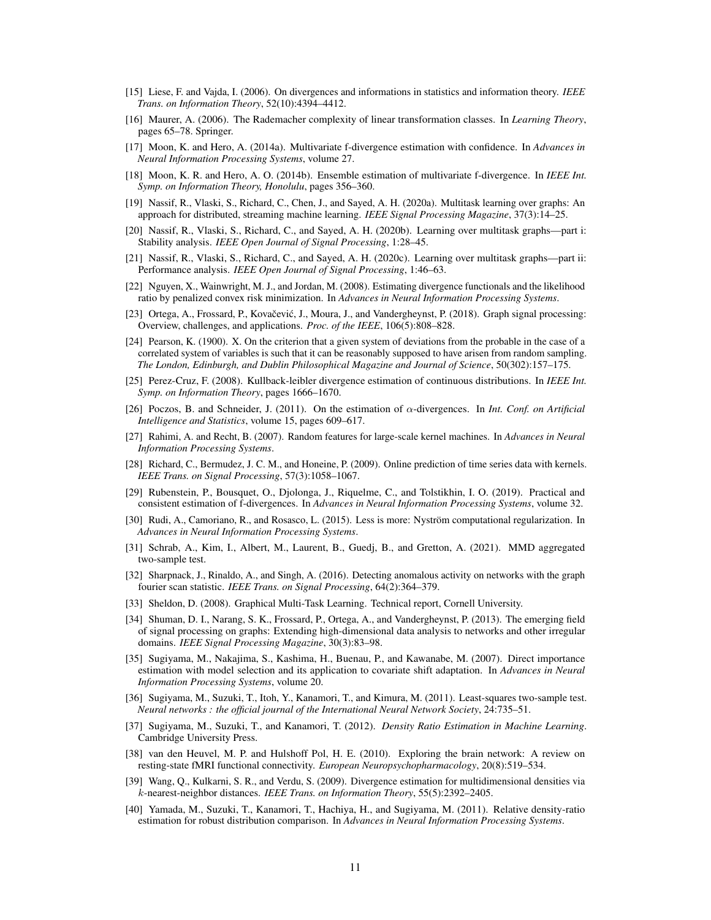- <span id="page-10-0"></span>[15] Liese, F. and Vajda, I. (2006). On divergences and informations in statistics and information theory. *IEEE Trans. on Information Theory*, 52(10):4394–4412.
- <span id="page-10-14"></span>[16] Maurer, A. (2006). The Rademacher complexity of linear transformation classes. In *Learning Theory*, pages 65–78. Springer.
- <span id="page-10-4"></span>[17] Moon, K. and Hero, A. (2014a). Multivariate f-divergence estimation with confidence. In *Advances in Neural Information Processing Systems*, volume 27.
- <span id="page-10-5"></span>[18] Moon, K. R. and Hero, A. O. (2014b). Ensemble estimation of multivariate f-divergence. In *IEEE Int. Symp. on Information Theory, Honolulu*, pages 356–360.
- <span id="page-10-15"></span>[19] Nassif, R., Vlaski, S., Richard, C., Chen, J., and Sayed, A. H. (2020a). Multitask learning over graphs: An approach for distributed, streaming machine learning. *IEEE Signal Processing Magazine*, 37(3):14–25.
- <span id="page-10-16"></span>[20] Nassif, R., Vlaski, S., Richard, C., and Sayed, A. H. (2020b). Learning over multitask graphs—part i: Stability analysis. *IEEE Open Journal of Signal Processing*, 1:28–45.
- <span id="page-10-17"></span>[21] Nassif, R., Vlaski, S., Richard, C., and Sayed, A. H. (2020c). Learning over multitask graphs—part ii: Performance analysis. *IEEE Open Journal of Signal Processing*, 1:46–63.
- <span id="page-10-6"></span>[22] Nguyen, X., Wainwright, M. J., and Jordan, M. (2008). Estimating divergence functionals and the likelihood ratio by penalized convex risk minimization. In *Advances in Neural Information Processing Systems*.
- <span id="page-10-13"></span>[23] Ortega, A., Frossard, P., Kovačević, J., Moura, J., and Vandergheynst, P. (2018). Graph signal processing: Overview, challenges, and applications. *Proc. of the IEEE*, 106(5):808–828.
- <span id="page-10-3"></span>[24] Pearson, K. (1900). X. On the criterion that a given system of deviations from the probable in the case of a correlated system of variables is such that it can be reasonably supposed to have arisen from random sampling. *The London, Edinburgh, and Dublin Philosophical Magazine and Journal of Science*, 50(302):157–175.
- <span id="page-10-7"></span>[25] Perez-Cruz, F. (2008). Kullback-leibler divergence estimation of continuous distributions. In *IEEE Int. Symp. on Information Theory*, pages 1666–1670.
- <span id="page-10-8"></span>[26] Poczos, B. and Schneider, J. (2011). On the estimation of α-divergences. In *Int. Conf. on Artificial Intelligence and Statistics*, volume 15, pages 609–617.
- <span id="page-10-21"></span>[27] Rahimi, A. and Recht, B. (2007). Random features for large-scale kernel machines. In *Advances in Neural Information Processing Systems*.
- <span id="page-10-23"></span>[28] Richard, C., Bermudez, J. C. M., and Honeine, P. (2009). Online prediction of time series data with kernels. *IEEE Trans. on Signal Processing*, 57(3):1058–1067.
- <span id="page-10-1"></span>[29] Rubenstein, P., Bousquet, O., Djolonga, J., Riquelme, C., and Tolstikhin, I. O. (2019). Practical and consistent estimation of f-divergences. In *Advances in Neural Information Processing Systems*, volume 32.
- <span id="page-10-22"></span>[30] Rudi, A., Camoriano, R., and Rosasco, L. (2015). Less is more: Nyström computational regularization. In *Advances in Neural Information Processing Systems*.
- <span id="page-10-25"></span>[31] Schrab, A., Kim, I., Albert, M., Laurent, B., Guedj, B., and Gretton, A. (2021). MMD aggregated two-sample test.
- <span id="page-10-11"></span>[32] Sharpnack, J., Rinaldo, A., and Singh, A. (2016). Detecting anomalous activity on networks with the graph fourier scan statistic. *IEEE Trans. on Signal Processing*, 64(2):364–379.
- <span id="page-10-20"></span>[33] Sheldon, D. (2008). Graphical Multi-Task Learning. Technical report, Cornell University.
- <span id="page-10-18"></span>[34] Shuman, D. I., Narang, S. K., Frossard, P., Ortega, A., and Vandergheynst, P. (2013). The emerging field of signal processing on graphs: Extending high-dimensional data analysis to networks and other irregular domains. *IEEE Signal Processing Magazine*, 30(3):83–98.
- <span id="page-10-19"></span>[35] Sugiyama, M., Nakajima, S., Kashima, H., Buenau, P., and Kawanabe, M. (2007). Direct importance estimation with model selection and its application to covariate shift adaptation. In *Advances in Neural Information Processing Systems*, volume 20.
- <span id="page-10-24"></span>[36] Sugiyama, M., Suzuki, T., Itoh, Y., Kanamori, T., and Kimura, M. (2011). Least-squares two-sample test. *Neural networks : the official journal of the International Neural Network Society*, 24:735–51.
- <span id="page-10-2"></span>[37] Sugiyama, M., Suzuki, T., and Kanamori, T. (2012). *Density Ratio Estimation in Machine Learning*. Cambridge University Press.
- <span id="page-10-12"></span>[38] van den Heuvel, M. P. and Hulshoff Pol, H. E. (2010). Exploring the brain network: A review on resting-state fMRI functional connectivity. *European Neuropsychopharmacology*, 20(8):519–534.
- <span id="page-10-9"></span>[39] Wang, Q., Kulkarni, S. R., and Verdu, S. (2009). Divergence estimation for multidimensional densities via k-nearest-neighbor distances. *IEEE Trans. on Information Theory*, 55(5):2392–2405.
- <span id="page-10-10"></span>[40] Yamada, M., Suzuki, T., Kanamori, T., Hachiya, H., and Sugiyama, M. (2011). Relative density-ratio estimation for robust distribution comparison. In *Advances in Neural Information Processing Systems*.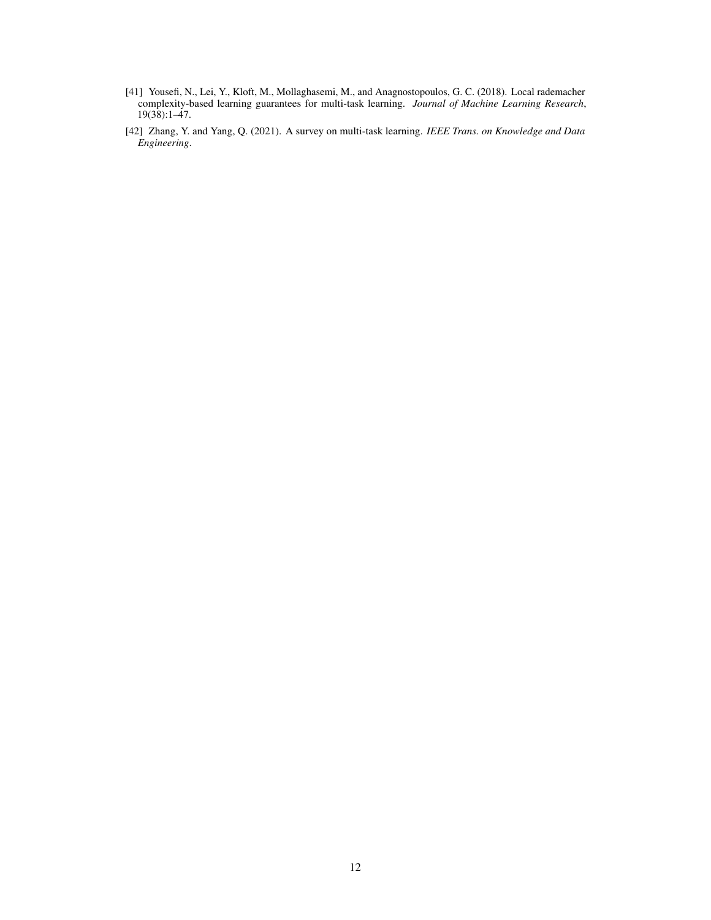- <span id="page-11-0"></span>[41] Yousefi, N., Lei, Y., Kloft, M., Mollaghasemi, M., and Anagnostopoulos, G. C. (2018). Local rademacher complexity-based learning guarantees for multi-task learning. *Journal of Machine Learning Research*,  $19(38):1-\frac{1}{47}$ .
- <span id="page-11-1"></span>[42] Zhang, Y. and Yang, Q. (2021). A survey on multi-task learning. *IEEE Trans. on Knowledge and Data Engineering*.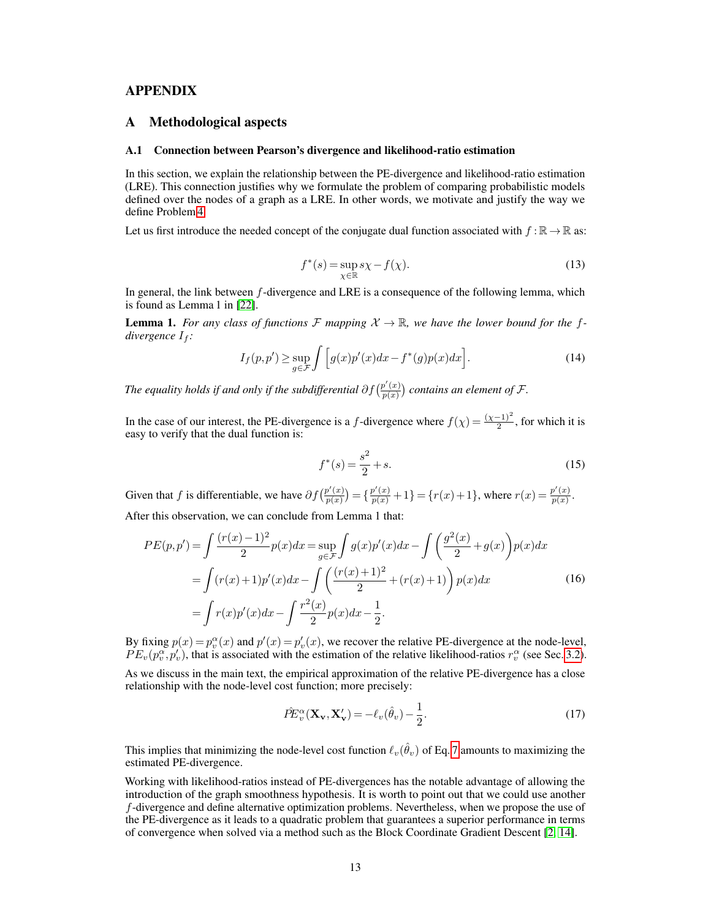## APPENDIX

## A Methodological aspects

#### <span id="page-12-0"></span>A.1 Connection between Pearson's divergence and likelihood-ratio estimation

In this section, we explain the relationship between the PE-divergence and likelihood-ratio estimation (LRE). This connection justifies why we formulate the problem of comparing probabilistic models defined over the nodes of a graph as a LRE. In other words, we motivate and justify the way we define Problem [4.](#page-3-1)

Let us first introduce the needed concept of the conjugate dual function associated with  $f : \mathbb{R} \to \mathbb{R}$  as:

$$
f^*(s) = \sup_{\chi \in \mathbb{R}} s\chi - f(\chi). \tag{13}
$$

In general, the link between  $f$ -divergence and LRE is a consequence of the following lemma, which is found as Lemma 1 in [\[22\]](#page-10-6).

**Lemma 1.** For any class of functions  $\mathcal{F}$  mapping  $\mathcal{X} \to \mathbb{R}$ , we have the lower bound for the f*divergence*  $I_f$ :

$$
I_f(p, p') \ge \sup_{g \in \mathcal{F}} \int \Big[ g(x) p'(x) dx - f^*(g) p(x) dx \Big]. \tag{14}
$$

*The equality holds if and only if the subdifferential*  $\partial f(\frac{p'(x)}{p(x)})$  $\frac{p'(x)}{p(x)}$  contains an element of F.

In the case of our interest, the PE-divergence is a f-divergence where  $f(\chi) = \frac{(\chi-1)^2}{2}$ , for which it is easy to verify that the dual function is:

$$
f^*(s) = \frac{s^2}{2} + s.
$$
 (15)

Given that f is differentiable, we have  $\partial f\left(\frac{p'(x)}{p(x)}\right)$  $\binom{p'(x)}{p(x)} = \{\frac{p'(x)}{p(x)} + 1\} = \{r(x) + 1\}$ , where  $r(x) = \frac{p'(x)}{p(x)}$  $\frac{p(x)}{p(x)}$ . After this observation, we can conclude from Lemma 1 that:

$$
PE(p, p') = \int \frac{(r(x) - 1)^2}{2} p(x) dx = \sup_{g \in \mathcal{F}} \int g(x) p'(x) dx - \int \left(\frac{g^2(x)}{2} + g(x)\right) p(x) dx
$$
  
= 
$$
\int (r(x) + 1)p'(x) dx - \int \left(\frac{(r(x) + 1)^2}{2} + (r(x) + 1)\right) p(x) dx
$$
  
= 
$$
\int r(x) p'(x) dx - \int \frac{r^2(x)}{2} p(x) dx - \frac{1}{2}.
$$
 (16)

By fixing  $p(x) = p_v^{\alpha}(x)$  and  $p'(x) = p'_v(x)$ , we recover the relative PE-divergence at the node-level,  $PE_v(p_v^{\alpha}, p_v')$ , that is associated with the estimation of the relative likelihood-ratios  $r_v^{\alpha}$  (see Sec. [3.2\)](#page-4-2). As we discuss in the main text, the empirical approximation of the relative PE-divergence has a close

relationship with the node-level cost function; more precisely:

$$
\hat{P}E_v^{\alpha}(\mathbf{X}_v, \mathbf{X}_v') = -\ell_v(\hat{\theta}_v) - \frac{1}{2}.
$$
\n(17)

This implies that minimizing the node-level cost function  $\ell_v(\hat{\theta}_v)$  of Eq. [7](#page-3-0) amounts to maximizing the estimated PE-divergence.

Working with likelihood-ratios instead of PE-divergences has the notable advantage of allowing the introduction of the graph smoothness hypothesis. It is worth to point out that we could use another f-divergence and define alternative optimization problems. Nevertheless, when we propose the use of the PE-divergence as it leads to a quadratic problem that guarantees a superior performance in terms of convergence when solved via a method such as the Block Coordinate Gradient Descent [\[2,](#page-9-8) [14\]](#page-9-9).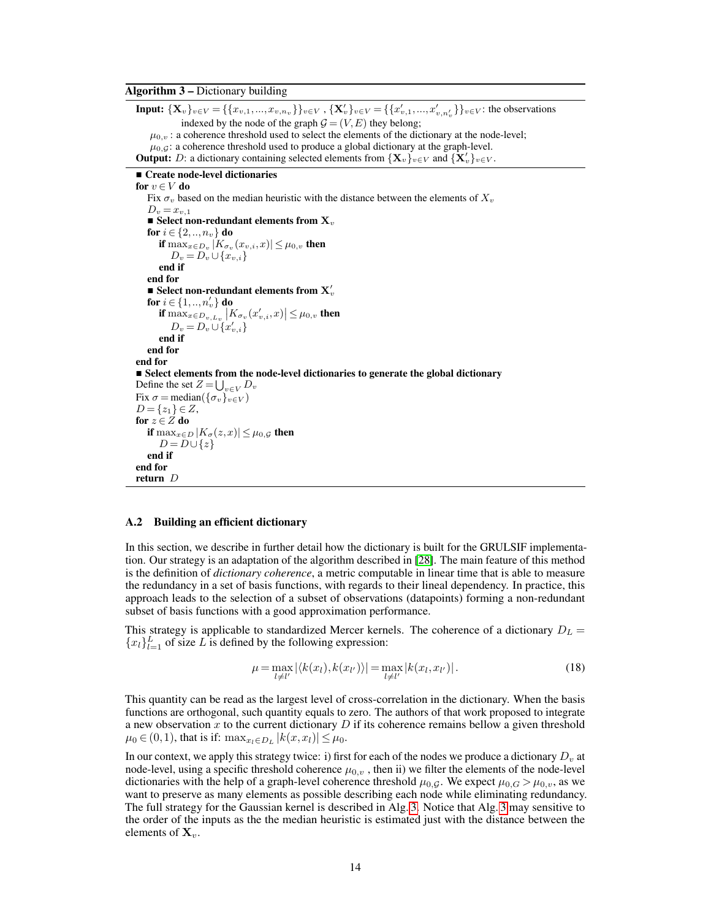### <span id="page-13-1"></span>Algorithm 3 – Dictionary building

**Input:**  $\{X_v\}_{v \in V} = \{\{x_{v,1},...,x_{v,n_v}\}\}_{v \in V}, \{X_v'\}_{v \in V} = \{\{x'_{v,1},...,x'_{v,n'_v}\}\}_{v \in V}$ : the observations indexed by the node of the graph  $G = (V, E)$  they belong;  $\mu_{0,v}$ : a coherence threshold used to select the elements of the dictionary at the node-level;  $\mu_{0,G}$ : a coherence threshold used to produce a global dictionary at the graph-level. **Output:** D: a dictionary containing selected elements from  $\{\mathbf X_v\}_{v\in V}$  and  $\{\mathbf X_v\}_{v\in V}$ . **Create node-level dictionaries** for  $v \in V$  do Fix  $\sigma_v$  based on the median heuristic with the distance between the elements of  $X_v$  $D_v = x_{v,1}$ Select non-redundant elements from  $X_v$ for  $i \in \{2, ..., n_{v}\}\)$  do if  $\max_{x \in D_v} |K_{\sigma_v}(x_{v,i}, x)| \leq \mu_{0,v}$  then  $D_v = D_v \cup \{x_{v,i}\}\$ end if end for **Select non-redundant elements from**  $X'_v$ for  $i \in \{1, ..., n'_v\}$  do if  $\max_{x \in D_v, L_v} |K_{\sigma_v}(x'_{v,i}, x)| \leq \mu_{0,v}$  then  $D_v = D_v \cup \{x'_{v,i}\}$ end if end for end for Select elements from the node-level dictionaries to generate the global dictionary Define the set  $Z = \bigcup_{v \in V} D_v$ Fix  $\sigma = \text{median}(\{\sigma_v\}_{v \in V})$  $D = \{z_1\} \in Z$ , for  $z \in \overline{Z}$  do if  $\max_{x \in D} |K_{\sigma}(z,x)| \leq \mu_{0,\mathcal{G}}$  then  $D = D \cup \{z\}$ end if end for return D

### <span id="page-13-0"></span>A.2 Building an efficient dictionary

In this section, we describe in further detail how the dictionary is built for the GRULSIF implementation. Our strategy is an adaptation of the algorithm described in [\[28\]](#page-10-23). The main feature of this method is the definition of *dictionary coherence*, a metric computable in linear time that is able to measure the redundancy in a set of basis functions, with regards to their lineal dependency. In practice, this approach leads to the selection of a subset of observations (datapoints) forming a non-redundant subset of basis functions with a good approximation performance.

This strategy is applicable to standardized Mercer kernels. The coherence of a dictionary  $D<sub>L</sub>$  =  ${x_l}_{l=1}^L$  of size L is defined by the following expression:

$$
\mu = \max_{l \neq l'} |\langle k(x_l), k(x_{l'}) \rangle| = \max_{l \neq l'} |k(x_l, x_{l'})|.
$$
\n(18)

This quantity can be read as the largest level of cross-correlation in the dictionary. When the basis functions are orthogonal, such quantity equals to zero. The authors of that work proposed to integrate a new observation x to the current dictionary  $D$  if its coherence remains bellow a given threshold  $\mu_0 \in (0, 1)$ , that is if:  $\max_{x_l \in D_L} |k(x, x_l)| \leq \mu_0$ .

In our context, we apply this strategy twice: i) first for each of the nodes we produce a dictionary  $D<sub>v</sub>$  at node-level, using a specific threshold coherence  $\mu_{0,v}$ , then ii) we filter the elements of the node-level dictionaries with the help of a graph-level coherence threshold  $\mu_{0,G}$ . We expect  $\mu_{0,G} > \mu_{0,v}$ , as we want to preserve as many elements as possible describing each node while eliminating redundancy. The full strategy for the Gaussian kernel is described in Alg. [3.](#page-13-1) Notice that Alg. [3](#page-13-1) may sensitive to the order of the inputs as the the median heuristic is estimated just with the distance between the elements of  $X_v$ .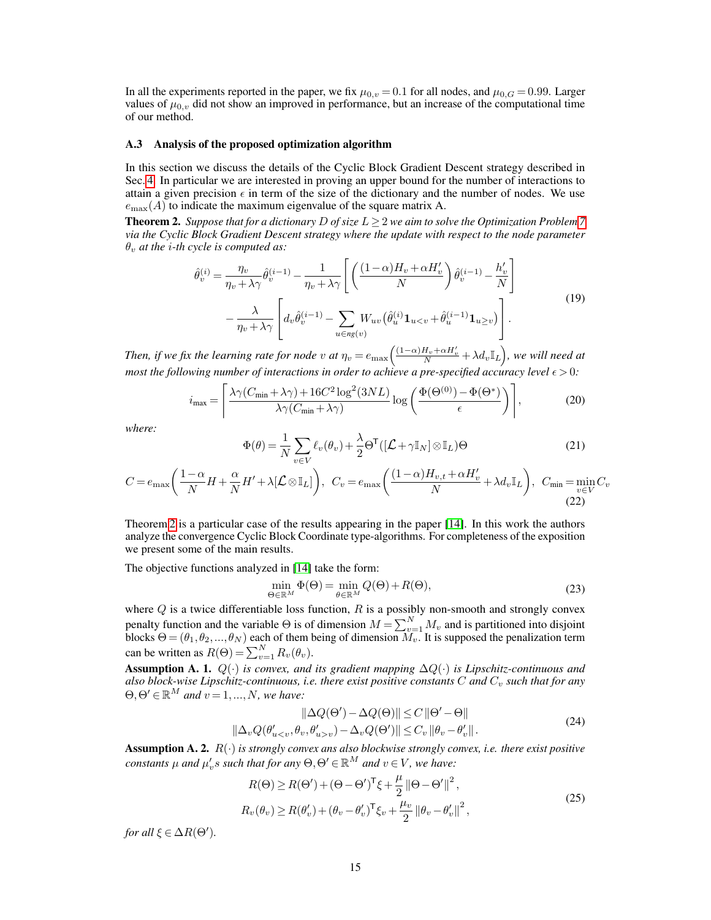In all the experiments reported in the paper, we fix  $\mu_{0,v} = 0.1$  for all nodes, and  $\mu_{0,G} = 0.99$ . Larger values of  $\mu_{0,v}$  did not show an improved in performance, but an increase of the computational time of our method.

#### <span id="page-14-0"></span>A.3 Analysis of the proposed optimization algorithm

In this section we discuss the details of the Cyclic Block Gradient Descent strategy described in Sec. [4.](#page-4-3) In particular we are interested in proving an upper bound for the number of interactions to attain a given precision  $\epsilon$  in term of the size of the dictionary and the number of nodes. We use  $e_{\text{max}}(A)$  to indicate the maximum eigenvalue of the square matrix A.

<span id="page-14-1"></span>**Theorem 2.** *Suppose that for a dictionary* D *of size*  $L \geq 2$  *we aim to solve the Optimization Problem* [7](#page-3-0) *via the Cyclic Block Gradient Descent strategy where the update with respect to the node parameter*  $\theta_v$  *at the i-th cycle is computed as:* 

<span id="page-14-3"></span>
$$
\hat{\theta}_{v}^{(i)} = \frac{\eta_{v}}{\eta_{v} + \lambda \gamma} \hat{\theta}_{v}^{(i-1)} - \frac{1}{\eta_{v} + \lambda \gamma} \left[ \left( \frac{(1-\alpha)H_{v} + \alpha H_{v}'}{N} \right) \hat{\theta}_{v}^{(i-1)} - \frac{h_{v}'}{N} \right] \n- \frac{\lambda}{\eta_{v} + \lambda \gamma} \left[ d_{v} \hat{\theta}_{v}^{(i-1)} - \sum_{u \in ng(v)} W_{uv} (\hat{\theta}_{u}^{(i)} \mathbf{1}_{u\n(19)
$$

Then, if we fix the learning rate for node v at  $\eta_v=e_{\max}\Bigl(\frac{(1-\alpha)H_v+\alpha H'_v}{N}+\lambda d_v\mathbb{I}_L\Bigr)$ , we will need at *most the following number of interactions in order to achieve a pre-specified accuracy level*  $\epsilon > 0$ *:* 

<span id="page-14-6"></span>
$$
i_{\max} = \left[ \frac{\lambda \gamma (C_{\min} + \lambda \gamma) + 16C^2 \log^2(3NL)}{\lambda \gamma (C_{\min} + \lambda \gamma)} \log \left( \frac{\Phi(\Theta^{(0)}) - \Phi(\Theta^*)}{\epsilon} \right) \right],\tag{20}
$$

*where:*

$$
\Phi(\theta) = \frac{1}{N} \sum_{v \in V} \ell_v(\theta_v) + \frac{\lambda}{2} \Theta^{\mathsf{T}}([\mathcal{L} + \gamma \mathbb{I}_N] \otimes \mathbb{I}_L) \Theta
$$
\n(21)

$$
C = e_{\max}\left(\frac{1-\alpha}{N}H + \frac{\alpha}{N}H' + \lambda[\mathcal{L}\otimes\mathbb{I}_L]\right), \quad C_v = e_{\max}\left(\frac{(1-\alpha)H_{v,t} + \alpha H'_v}{N} + \lambda d_v \mathbb{I}_L\right), \quad C_{\min} = \min_{v \in V} C_v
$$
\n(22)

Theorem [2](#page-14-1) is a particular case of the results appearing in the paper [\[14\]](#page-9-9). In this work the authors analyze the convergence Cyclic Block Coordinate type-algorithms. For completeness of the exposition we present some of the main results.

The objective functions analyzed in [\[14\]](#page-9-9) take the form:

<span id="page-14-2"></span>
$$
\min_{\Theta \in \mathbb{R}^M} \Phi(\Theta) = \min_{\theta \in \mathbb{R}^M} Q(\Theta) + R(\Theta),\tag{23}
$$

where  $Q$  is a twice differentiable loss function,  $R$  is a possibly non-smooth and strongly convex penalty function and the variable  $\Theta$  is of dimension  $M = \sum_{v=1}^{N} M_v$  and is partitioned into disjoint blocks  $\Theta = (\theta_1, \theta_2, ..., \theta_N)$  each of them being of dimension  $M_v$ . It is supposed the penalization term can be written as  $R(\Theta) = \sum_{v=1}^{N} R_v(\theta_v)$ .

<span id="page-14-5"></span>Assumption A. 1. Q(·) *is convex, and its gradient mapping* ∆Q(·) *is Lipschitz-continuous and also block-wise Lipschitz-continuous, i.e. there exist positive constants* C *and*  $C_v$  *such that for any*  $\Theta$ ,  $\Theta' \in \mathbb{R}^M$  and  $v = 1, ..., N$ , we have:

$$
\|\Delta Q(\Theta') - \Delta Q(\Theta)\| \le C \|\Theta' - \Theta\|
$$
  

$$
\|\Delta_v Q(\theta'_{uv}) - \Delta_v Q(\Theta')\| \le C_v \|\theta_v - \theta'_v\|.
$$
 (24)

<span id="page-14-4"></span>**Assumption A. 2.**  $R(\cdot)$  *is strongly convex ans also blockwise strongly convex, i.e. there exist positive*  $\alpha$  *constants*  $\mu$  *and*  $\mu'_v s$  *such that for any*  $\Theta$ ,  $\Theta' \in \mathbb{R}^M$  *and*  $v \in V$ *, we have:* 

$$
R(\Theta) \ge R(\Theta') + (\Theta - \Theta')^{\mathsf{T}} \xi + \frac{\mu}{2} ||\Theta - \Theta'||^2,
$$
  
\n
$$
R_v(\theta_v) \ge R(\theta'_v) + (\theta_v - \theta'_v)^{\mathsf{T}} \xi_v + \frac{\mu_v}{2} ||\theta_v - \theta'_v||^2,
$$
\n(25)

*for all*  $\xi \in \Delta R(\Theta')$ *.*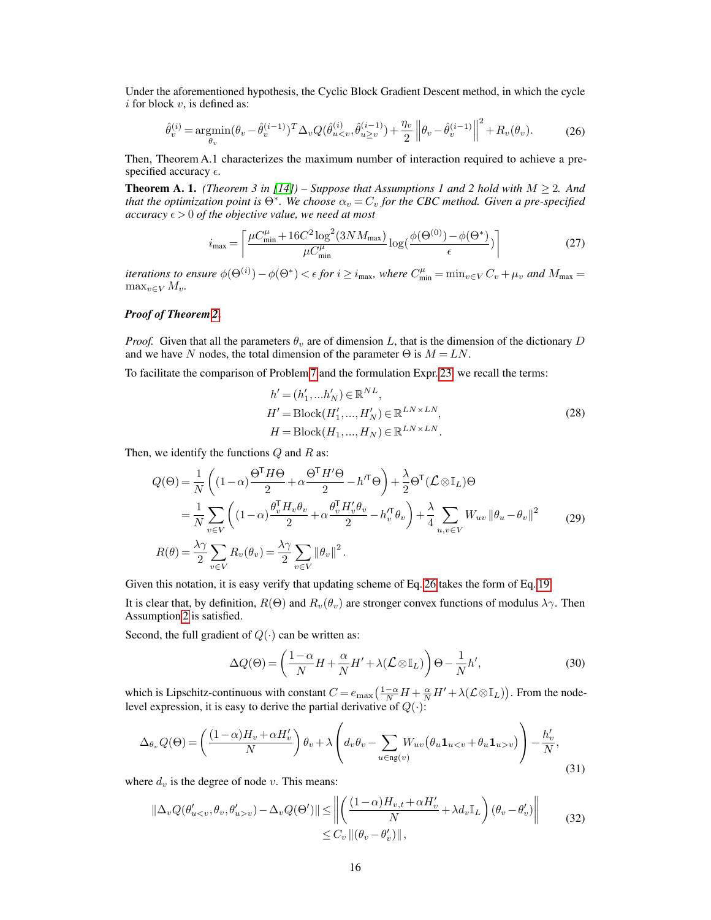Under the aforementioned hypothesis, the Cyclic Block Gradient Descent method, in which the cycle  $i$  for block  $v$ , is defined as:

<span id="page-15-0"></span>
$$
\hat{\theta}_{v}^{(i)} = \underset{\theta_{v}}{\text{argmin}} (\theta_{v} - \hat{\theta}_{v}^{(i-1)})^{T} \Delta_{v} Q(\hat{\theta}_{u\n(26)
$$

Then, Theorem A.1 characterizes the maximum number of interaction required to achieve a prespecified accuracy  $\epsilon$ .

**Theorem A. 1.** *(Theorem 3 in [\[14\]](#page-9-9)) – Suppose that Assumptions 1 and 2 hold with*  $M \geq 2$ *. And that the optimization point is*  $\Theta^*$ . We choose  $\alpha_v = C_v$  for the CBC method. Given a pre-specified *accuracy*  $\epsilon > 0$  *of the objective value, we need at most* 

$$
i_{\max} = \left\lceil \frac{\mu C_{\min}^{\mu} + 16C^2 \log^2(3NM_{\max})}{\mu C_{\min}^{\mu}} \log(\frac{\phi(\Theta^{(0)}) - \phi(\Theta^*)}{\epsilon}) \right\rceil \tag{27}
$$

*iterations to ensure*  $\phi(\Theta^{(i)}) - \phi(\Theta^*) < \epsilon$  *for*  $i \ge i_{\max}$ *, where*  $C_{\min}^{\mu} = \min_{v \in V} C_v + \mu_v$  *and*  $M_{\max} =$  $\max_{v \in V} M_v$ .

## *Proof of Theorem [2](#page-14-1)*.

*Proof.* Given that all the parameters  $\theta_v$  are of dimension L, that is the dimension of the dictionary D and we have N nodes, the total dimension of the parameter  $\Theta$  is  $M = LN$ .

To facilitate the comparison of Problem [7](#page-3-0) and the formulation Expr. [23,](#page-14-2) we recall the terms:

$$
h' = (h'_1, \dots h'_N) \in \mathbb{R}^{NL},
$$
  
\n
$$
H' = \text{Block}(H'_1, \dots, H'_N) \in \mathbb{R}^{LN \times LN},
$$
  
\n
$$
H = \text{Block}(H_1, \dots, H_N) \in \mathbb{R}^{LN \times LN}.
$$
\n(28)

Then, we identify the functions  $Q$  and  $R$  as:

$$
Q(\Theta) = \frac{1}{N} \left( (1 - \alpha) \frac{\Theta^{T} H \Theta}{2} + \alpha \frac{\Theta^{T} H^{\prime} \Theta}{2} - h^{T} \Theta \right) + \frac{\lambda}{2} \Theta^{T} (\mathcal{L} \otimes \mathbb{I}_{L}) \Theta
$$
  
\n
$$
= \frac{1}{N} \sum_{v \in V} \left( (1 - \alpha) \frac{\theta_{v}^{T} H_{v} \theta_{v}}{2} + \alpha \frac{\theta_{v}^{T} H_{v}^{\prime} \theta_{v}}{2} - h_{v}^{T} \theta_{v} \right) + \frac{\lambda}{4} \sum_{u,v \in V} W_{uv} ||\theta_{u} - \theta_{v}||^{2}
$$
  
\n
$$
R(\theta) = \frac{\lambda \gamma}{2} \sum_{v \in V} R_{v}(\theta_{v}) = \frac{\lambda \gamma}{2} \sum_{v \in V} ||\theta_{v}||^{2}.
$$
 (29)

Given this notation, it is easy verify that updating scheme of Eq. [26](#page-15-0) takes the form of Eq. [19.](#page-14-3)

It is clear that, by definition,  $R(\Theta)$  and  $R_v(\theta_v)$  are stronger convex functions of modulus  $\lambda \gamma$ . Then Assumption [2](#page-14-4) is satisfied.

Second, the full gradient of  $Q(\cdot)$  can be written as:

$$
\Delta Q(\Theta) = \left(\frac{1-\alpha}{N}H + \frac{\alpha}{N}H' + \lambda(\mathcal{L}\otimes \mathbb{I}_L)\right)\Theta - \frac{1}{N}h',\tag{30}
$$

which is Lipschitz-continuous with constant  $C = e_{\max} \left( \frac{1-\alpha}{N} H + \frac{\alpha}{N} H' + \lambda (L \otimes I_L) \right)$ . From the nodelevel expression, it is easy to derive the partial derivative of  $Q(\cdot)$ :

$$
\Delta_{\theta_v} Q(\Theta) = \left( \frac{(1-\alpha)H_v + \alpha H_v'}{N} \right) \theta_v + \lambda \left( d_v \theta_v - \sum_{u \in \text{ng}(v)} W_{uv} (\theta_u \mathbf{1}_{u < v} + \theta_u \mathbf{1}_{u > v}) \right) - \frac{h_v'}{N},\tag{31}
$$

where  $d_v$  is the degree of node v. This means:

$$
\|\Delta_v Q(\theta'_{uv}) - \Delta_v Q(\Theta')\| \le \left\| \left( \frac{(1-\alpha)H_{v,t} + \alpha H'_v}{N} + \lambda d_v \mathbb{I}_L \right) (\theta_v - \theta'_v) \right\|
$$
  
 
$$
\le C_v \left\| (\theta_v - \theta'_v) \right\|,
$$
 (32)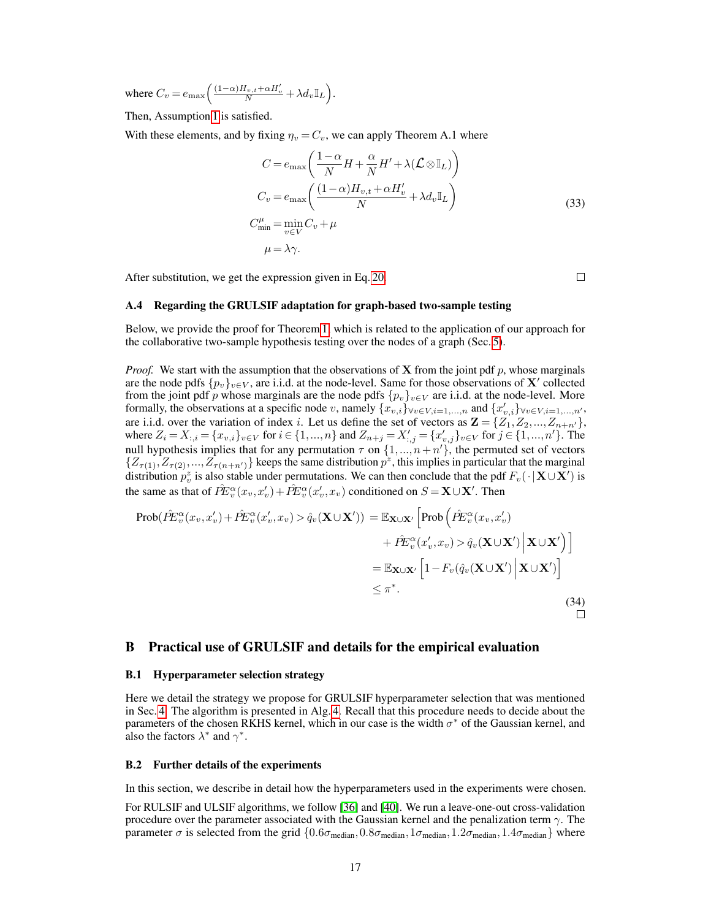where  $C_v = e_{\text{max}} \left( \frac{(1-\alpha)H_{v,t} + \alpha H_v'}{N} + \lambda d_v \mathbb{I}_L \right)$ .

Then, Assumption [1](#page-14-5) is satisfied.

With these elements, and by fixing  $\eta_v = C_v$ , we can apply Theorem A.1 where

$$
C = e_{\max} \left( \frac{1 - \alpha}{N} H + \frac{\alpha}{N} H' + \lambda (\mathcal{L} \otimes \mathbb{I}_L) \right)
$$
  
\n
$$
C_v = e_{\max} \left( \frac{(1 - \alpha) H_{v,t} + \alpha H'_v}{N} + \lambda d_v \mathbb{I}_L \right)
$$
  
\n
$$
C_{\min}^{\mu} = \min_{v \in V} C_v + \mu
$$
  
\n
$$
\mu = \lambda \gamma.
$$
\n(33)

After substitution, we get the expression given in Eq. [20.](#page-14-6)

 $\Box$ 

#### <span id="page-16-1"></span>A.4 Regarding the GRULSIF adaptation for graph-based two-sample testing

Below, we provide the proof for Theorem [1,](#page-6-1) which is related to the application of our approach for the collaborative two-sample hypothesis testing over the nodes of a graph (Sec. [5\)](#page-5-0).

*Proof.* We start with the assumption that the observations of **X** from the joint pdf p, whose marginals are the node pdfs  $\{p_v\}_{v\in V}$ , are i.i.d. at the node-level. Same for those observations of X' collected from the joint pdf p whose marginals are the node pdfs  $\{p_v\}_{v\in V}$  are i.i.d. at the node-level. More formally, the observations at a specific node v, namely  $\{x_{v,i}\}_{\forall v \in V, i=1,\dots,n}$  and  $\{x'_{v,i}\}_{\forall v \in V, i=1,\dots,n'}$ , are i.i.d. over the variation of index i. Let us define the set of vectors as  $\mathbf{Z} = \{Z_1, Z_2, ..., Z_{n+n'}\},\$ where  $Z_i = X_{:,i} = \{x_{v,i}\}_{v \in V}$  for  $i \in \{1,...,n\}$  and  $Z_{n+j} = X'_{:,j} = \{x'_{v,j}\}_{v \in V}$  for  $j \in \{1,...,n'\}$ . The null hypothesis implies that for any permutation  $\tau$  on  $\{1,...,n+n'\}$ , the permuted set of vectors  $\{Z_{\tau(1)}, Z_{\tau(2)},..., Z_{\tau(n+n')}\}\$ keeps the same distribution  $p^z$ , this implies in particular that the marginal distribution  $p_v^z$  is also stable under permutations. We can then conclude that the pdf  $F_v(\cdot | \mathbf{X} \cup \mathbf{X}')$  is the same as that of  $\hat{P}E_v^{\alpha}(x_v, x'_v) + \hat{P}E_v^{\alpha}(x'_v, x_v)$  conditioned on  $S = \mathbf{X} \cup \mathbf{X}'$ . Then

$$
\begin{split} \text{Prob}(\hat{P}E_v^{\alpha}(x_v, x'_v) + \hat{P}E_v^{\alpha}(x'_v, x_v) > \hat{q}_v(\mathbf{X} \cup \mathbf{X}')) = \mathbb{E}_{\mathbf{X} \cup \mathbf{X}'} \left[ \text{Prob}\left(\hat{P}E_v^{\alpha}(x_v, x'_v) + \hat{P}E_v^{\alpha}(x'_v, x_v) > \hat{q}_v(\mathbf{X} \cup \mathbf{X}') \, \Big| \, \mathbf{X} \cup \mathbf{X}' \right) \right] \\ &= \mathbb{E}_{\mathbf{X} \cup \mathbf{X}'} \left[ 1 - F_v(\hat{q}_v(\mathbf{X} \cup \mathbf{X}') \, \Big| \, \mathbf{X} \cup \mathbf{X}' \right) \right] \\ &\leq \pi^*. \end{split} \tag{34}
$$

## B Practical use of GRULSIF and details for the empirical evaluation

#### <span id="page-16-0"></span>B.1 Hyperparameter selection strategy

Here we detail the strategy we propose for GRULSIF hyperparameter selection that was mentioned in Sec. [4.](#page-4-3) The algorithm is presented in Alg. [4.](#page-17-1) Recall that this procedure needs to decide about the parameters of the chosen RKHS kernel, which in our case is the width  $\sigma^*$  of the Gaussian kernel, and also the factors  $\lambda^*$  and  $\gamma^*$ .

### B.2 Further details of the experiments

In this section, we describe in detail how the hyperparameters used in the experiments were chosen.

For RULSIF and ULSIF algorithms, we follow [\[36\]](#page-10-24) and [\[40\]](#page-10-10). We run a leave-one-out cross-validation procedure over the parameter associated with the Gaussian kernel and the penalization term  $\gamma$ . The parameter  $\sigma$  is selected from the grid  $\{0.6\sigma_{\text{median}},0.8\sigma_{\text{median}},1\sigma_{\text{median}},1.2\sigma_{\text{median}},1.4\sigma_{\text{median}}\}$  where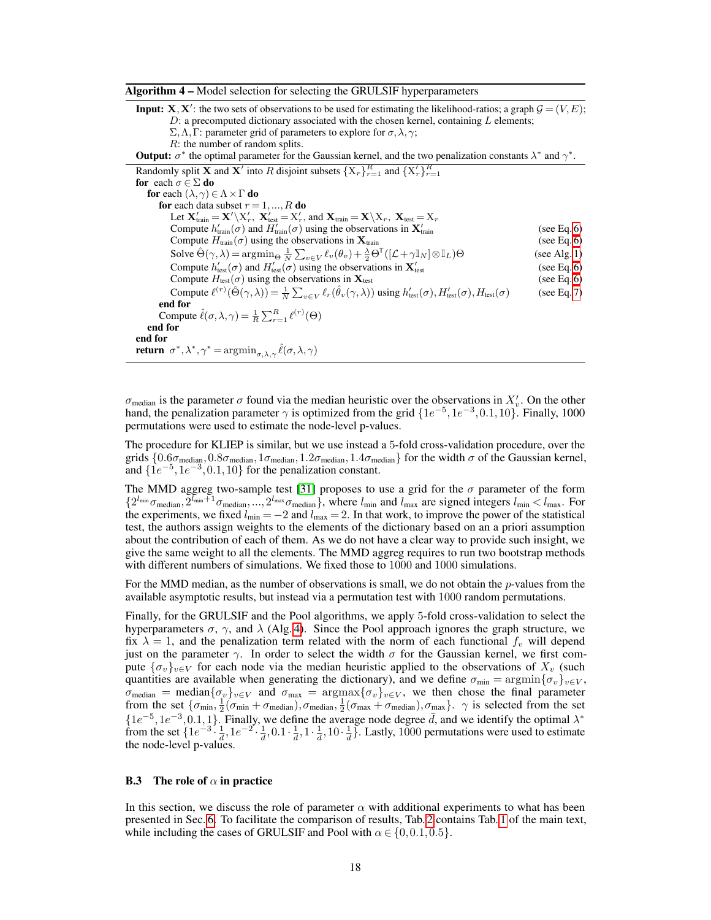<span id="page-17-1"></span>

| <b>Input:</b> $X, X'$ : the two sets of observations to be used for estimating the likelihood-ratios; a graph $G = (V, E)$ ;<br>D: a precomputed dictionary associated with the chosen kernel, containing $L$ elements;<br>$\Sigma, \Lambda, \Gamma$ : parameter grid of parameters to explore for $\sigma, \lambda, \gamma$ ; |             |  |  |  |  |  |  |  |
|--------------------------------------------------------------------------------------------------------------------------------------------------------------------------------------------------------------------------------------------------------------------------------------------------------------------------------|-------------|--|--|--|--|--|--|--|
| $R$ : the number of random splits.<br><b>Output:</b> $\sigma^*$ the optimal parameter for the Gaussian kernel, and the two penalization constants $\lambda^*$ and $\gamma^*$ .                                                                                                                                                 |             |  |  |  |  |  |  |  |
| Randomly split <b>X</b> and <b>X</b> ' into R disjoint subsets $\{X_r\}_{r=1}^R$ and $\{X'_r\}_{r=1}^R$<br>for each $\sigma \in \Sigma$ do                                                                                                                                                                                     |             |  |  |  |  |  |  |  |
| for each $(\lambda, \gamma) \in \Lambda \times \Gamma$ do                                                                                                                                                                                                                                                                      |             |  |  |  |  |  |  |  |
| <b>for</b> each data subset $r = 1, , R$ <b>do</b>                                                                                                                                                                                                                                                                             |             |  |  |  |  |  |  |  |
| Let $\mathbf{X}'_{\text{train}} = \mathbf{X}' \setminus X'_r$ , $\mathbf{X}'_{\text{test}} = X'_r$ , and $\mathbf{X}_{\text{train}} = \mathbf{X} \setminus X_r$ , $\mathbf{X}_{\text{test}} = X_r$                                                                                                                             |             |  |  |  |  |  |  |  |
| Compute $h'_{\text{train}}(\sigma)$ and $H'_{\text{train}}(\sigma)$ using the observations in $\mathbf{X}'_{\text{train}}$                                                                                                                                                                                                     | (see Eq. 6) |  |  |  |  |  |  |  |
| Compute $H_{\text{train}}(\sigma)$ using the observations in $\mathbf{X}_{\text{train}}$                                                                                                                                                                                                                                       |             |  |  |  |  |  |  |  |
| Solve $\hat{\Theta}(\gamma,\lambda) = \arg\min_{\Theta} \frac{1}{N} \sum_{v \in V} \ell_v(\theta_v) + \frac{\lambda}{2} \Theta^{\mathsf{T}}([\mathcal{L} + \gamma \mathbb{I}_N] \otimes \mathbb{I}_L) \Theta$                                                                                                                  |             |  |  |  |  |  |  |  |
| Compute $h'_{\text{test}}(\sigma)$ and $H'_{\text{test}}(\sigma)$ using the observations in $\mathbf{X}'_{\text{test}}$                                                                                                                                                                                                        |             |  |  |  |  |  |  |  |
| Compute $H_{\text{test}}(\sigma)$ using the observations in $\mathbf{X}_{\text{test}}$                                                                                                                                                                                                                                         | (see Eq. 6) |  |  |  |  |  |  |  |
| Compute $\ell^{(r)}(\hat{\Theta}(\gamma,\lambda)) = \frac{1}{N} \sum_{v \in V} \ell_r(\hat{\theta}_v(\gamma,\lambda))$ using $h'_{\text{test}}(\sigma), H'_{\text{test}}(\sigma), H_{\text{test}}(\sigma)$                                                                                                                     | (see Eq. 7) |  |  |  |  |  |  |  |
| end for                                                                                                                                                                                                                                                                                                                        |             |  |  |  |  |  |  |  |
| Compute $\hat{\ell}(\sigma,\lambda,\gamma) = \frac{1}{R} \sum_{r=1}^{R} \ell^{(r)}(\Theta)$                                                                                                                                                                                                                                    |             |  |  |  |  |  |  |  |
| end for                                                                                                                                                                                                                                                                                                                        |             |  |  |  |  |  |  |  |
| end for                                                                                                                                                                                                                                                                                                                        |             |  |  |  |  |  |  |  |
| <b>return</b> $\sigma^*, \lambda^*, \gamma^* = \arg\min_{\sigma, \lambda, \gamma} \hat{\ell}(\sigma, \lambda, \gamma)$                                                                                                                                                                                                         |             |  |  |  |  |  |  |  |

 $\sigma_{\text{median}}$  is the parameter  $\sigma$  found via the median heuristic over the observations in  $X'_v$ . On the other hand, the penalization parameter  $\gamma$  is optimized from the grid  $\{1e^{-5}, 1e^{-3}, 0.1, 10\}$ . Finally, 1000 permutations were used to estimate the node-level p-values.

The procedure for KLIEP is similar, but we use instead a 5-fold cross-validation procedure, over the grids  $\{0.6\sigma_{\text{median}},0.8\sigma_{\text{median}},1\sigma_{\text{median}},1.2\sigma_{\text{median}},1.4\sigma_{\text{median}}\}$  for the width  $\sigma$  of the Gaussian kernel, and  $\{1e^{-5}, 1e^{-3}, 0.1, 10\}$  for the penalization constant.

The MMD aggreg two-sample test [\[31\]](#page-10-25) proposes to use a grid for the  $\sigma$  parameter of the form  $\{2^{l_{\min}}\sigma_{\text{median}}, 2^{\overline{l}_{\min}+1}\sigma_{\text{median}}, ..., 2^{l_{\max}}\sigma_{\text{median}}\},$  where  $l_{\min}$  and  $l_{\max}$  are signed integers  $l_{\min} < l_{\max}$ . For the experiments, we fixed  $l_{\min} = -2$  and  $l_{\max} = 2$ . In that work, to improve the power of the statistical test, the authors assign weights to the elements of the dictionary based on an a priori assumption about the contribution of each of them. As we do not have a clear way to provide such insight, we give the same weight to all the elements. The MMD aggreg requires to run two bootstrap methods with different numbers of simulations. We fixed those to 1000 and 1000 simulations.

For the MMD median, as the number of observations is small, we do not obtain the *p*-values from the available asymptotic results, but instead via a permutation test with 1000 random permutations.

Finally, for the GRULSIF and the Pool algorithms, we apply 5-fold cross-validation to select the hyperparameters  $\sigma$ ,  $\gamma$ , and  $\lambda$  (Alg. [4\)](#page-17-1). Since the Pool approach ignores the graph structure, we fix  $\lambda = 1$ , and the penalization term related with the norm of each functional  $f_v$  will depend just on the parameter  $\gamma$ . In order to select the width  $\sigma$  for the Gaussian kernel, we first compute  $\{\sigma_v\}_{v\in V}$  for each node via the median heuristic applied to the observations of  $X_v$  (such quantities are available when generating the dictionary), and we define  $\sigma_{\min} = \arg\min{\{\sigma_v\}_{v \in V}}$ ,  $\sigma_{\text{median}} = \text{median}\{\sigma_v\}_{v \in V}$  and  $\sigma_{\text{max}} = \text{argmax}\{\sigma_v\}_{v \in V}$ , we then chose the final parameter from the set  $\{\sigma_{\min}, \frac{1}{2}(\sigma_{\min} + \sigma_{\text{median}}), \sigma_{\text{median}}, \frac{1}{2}(\sigma_{\max} + \sigma_{\text{median}}), \sigma_{\max}\}\$ .  $\gamma$  is selected from the set  $\{1e^{-5}, 1e^{-3}, 0.1, 1\}$ . Finally, we define the average node degree  $\bar{d}$ , and we identify the optimal  $\lambda^*$ from the set  $\left\{1e^{-3}\cdot\frac{1}{4},1e^{-2}\cdot\frac{1}{4},0.1\cdot\frac{1}{4},1\cdot\frac{1}{4},10\cdot\frac{1}{4}\right\}$ . Lastly, 1000 permutations were used to estimate the node-level p-values.

#### <span id="page-17-0"></span>**B.3** The role of  $\alpha$  in practice

In this section, we discuss the role of parameter  $\alpha$  with additional experiments to what has been presented in Sec. [6.](#page-6-2) To facilitate the comparison of results, Tab. [2](#page-19-0) contains Tab. [1](#page-8-0) of the main text, while including the cases of GRULSIF and Pool with  $\alpha \in \{0, 0.1, 0.5\}$ .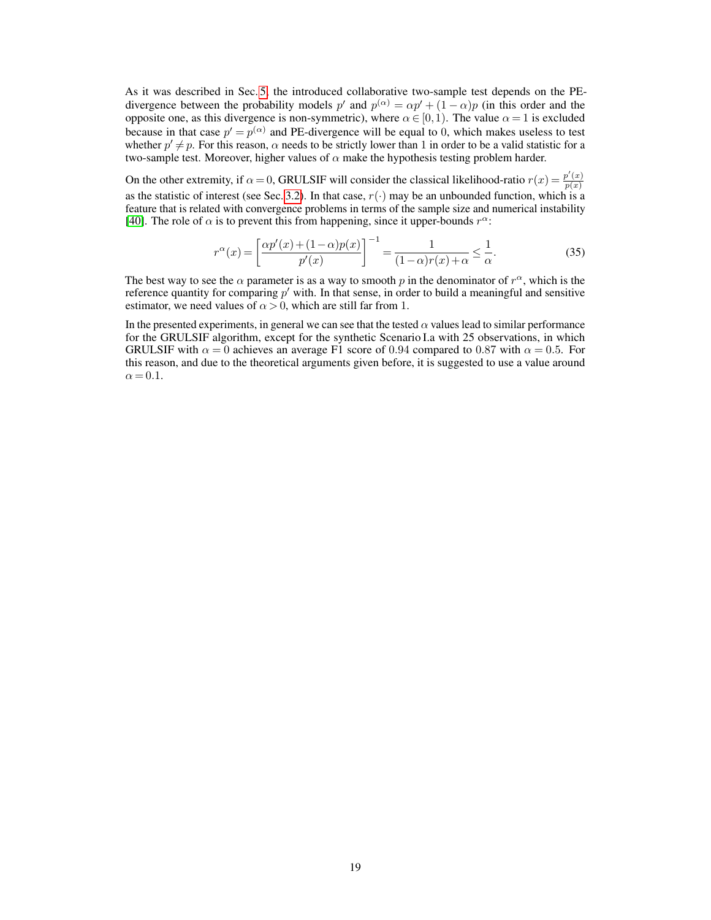As it was described in Sec. [5,](#page-5-0) the introduced collaborative two-sample test depends on the PEdivergence between the probability models  $p'$  and  $p^{(\alpha)} = \alpha p' + (1 - \alpha)p$  (in this order and the opposite one, as this divergence is non-symmetric), where  $\alpha \in [0,1)$ . The value  $\alpha = 1$  is excluded because in that case  $p' = p^{(\alpha)}$  and PE-divergence will be equal to 0, which makes useless to test whether  $p' \neq p$ . For this reason,  $\alpha$  needs to be strictly lower than 1 in order to be a valid statistic for a two-sample test. Moreover, higher values of  $\alpha$  make the hypothesis testing problem harder.

On the other extremity, if  $\alpha = 0$ , GRULSIF will consider the classical likelihood-ratio  $r(x) = \frac{p'(x)}{p(x)}$  $p(x)$ as the statistic of interest (see Sec. [3.2\)](#page-4-2). In that case,  $r(\cdot)$  may be an unbounded function, which is a feature that is related with convergence problems in terms of the sample size and numerical instability [\[40\]](#page-10-10). The role of  $\alpha$  is to prevent this from happening, since it upper-bounds  $r^{\alpha}$ :

$$
r^{\alpha}(x) = \left[\frac{\alpha p'(x) + (1 - \alpha)p(x)}{p'(x)}\right]^{-1} = \frac{1}{(1 - \alpha)r(x) + \alpha} \le \frac{1}{\alpha}.
$$
 (35)

The best way to see the  $\alpha$  parameter is as a way to smooth p in the denominator of  $r^{\alpha}$ , which is the reference quantity for comparing  $p'$  with. In that sense, in order to build a meaningful and sensitive estimator, we need values of  $\alpha > 0$ , which are still far from 1.

In the presented experiments, in general we can see that the tested  $\alpha$  values lead to similar performance for the GRULSIF algorithm, except for the synthetic Scenario I.a with 25 observations, in which GRULSIF with  $\alpha = 0$  achieves an average F1 score of 0.94 compared to 0.87 with  $\alpha = 0.5$ . For this reason, and due to the theoretical arguments given before, it is suggested to use a value around  $\alpha = 0.1$ .